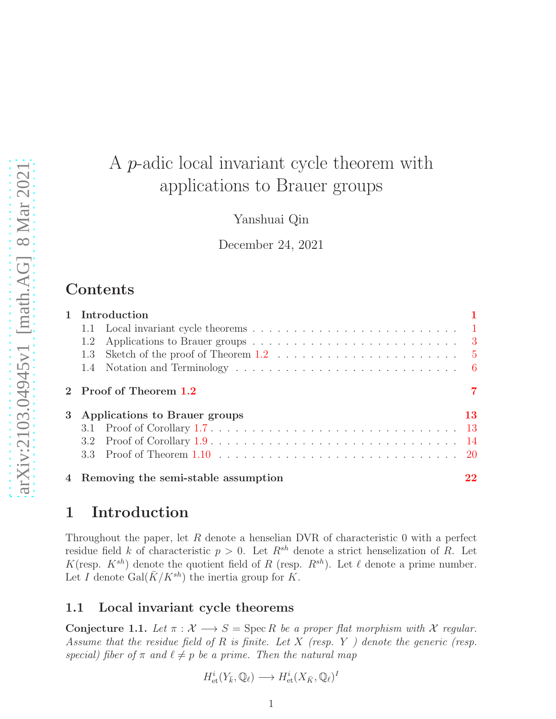# A p-adic local invariant cycle theorem with applications to Brauer groups

Yanshuai Qin

December 24, 2021

# Contents

| 1 Introduction                        |     |
|---------------------------------------|-----|
|                                       |     |
| 1.2                                   |     |
| 1.3                                   |     |
|                                       |     |
| 2 Proof of Theorem 1.2                |     |
| 3 Applications to Brauer groups       | 13. |
|                                       |     |
|                                       |     |
|                                       |     |
| 4 Removing the semi-stable assumption |     |

# <span id="page-0-0"></span>1 Introduction

Throughout the paper, let  $R$  denote a henselian DVR of characteristic 0 with a perfect residue field k of characteristic  $p > 0$ . Let  $R^{sh}$  denote a strict henselization of R. Let K(resp.  $K^{sh}$ ) denote the quotient field of R (resp.  $R^{sh}$ ). Let  $\ell$  denote a prime number. Let I denote  $Gal(\bar{K}/K^{sh})$  the inertia group for K.

### <span id="page-0-1"></span>1.1 Local invariant cycle theorems

Conjecture 1.1. Let  $\pi : \mathcal{X} \longrightarrow S = \text{Spec } R$  *be a proper flat morphism with*  $\mathcal{X}$  *regular. Assume that the residue field of* R *is finite. Let* X *(resp.* Y *) denote the generic (resp. special)* fiber of  $\pi$  *and*  $\ell \neq p$  *be a prime. Then the natural map* 

$$
H^i_{\text{et}}(Y_{\bar{k}}, \mathbb{Q}_\ell) \longrightarrow H^i_{\text{et}}(X_{\bar{K}}, \mathbb{Q}_\ell)^I
$$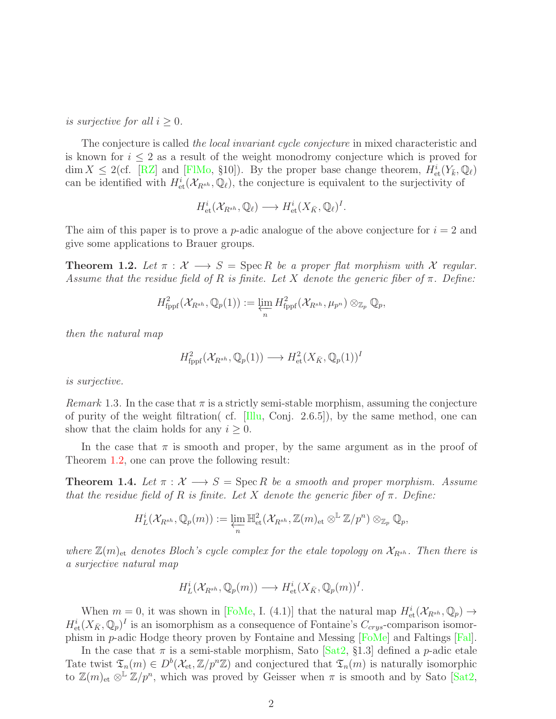*is surjective for all*  $i \geq 0$ *.* 

The conjecture is called *the local invariant cycle conjecture* in mixed characteristic and is known for  $i \leq 2$  as a result of the weight monodromy conjecture which is proved for  $\dim X \leq 2$ (cf. [\[RZ\]](#page-26-0) and [FIMo, §10]). By the proper base change theorem,  $H^i_{\text{et}}(Y_{\bar{k}}, \mathbb{Q}_\ell)$ can be identified with  $H^i_{\text{\rm et}}(\mathcal{X}_{R^{sh}},\mathbb{Q}_\ell)$ , the conjecture is equivalent to the surjectivity of

$$
H^i_{\text{et}}(\mathcal{X}_{R^{sh}}, \mathbb{Q}_\ell) \longrightarrow H^i_{\text{et}}(X_{\bar{K}}, \mathbb{Q}_\ell)^I.
$$

The aim of this paper is to prove a *p*-adic analogue of the above conjecture for  $i = 2$  and give some applications to Brauer groups.

<span id="page-1-0"></span>**Theorem 1.2.** Let  $\pi : \mathcal{X} \longrightarrow S = \text{Spec } R$  be a proper flat morphism with X regular. *Assume that the residue field of* R *is finite. Let* X *denote the generic fiber of* π*. Define:*

$$
H^2_{\text{fppf}}(\mathcal{X}_{R^{sh}},\mathbb{Q}_p(1)) := \varprojlim_n H^2_{\text{fppf}}(\mathcal{X}_{R^{sh}},\mu_{p^n}) \otimes_{\mathbb{Z}_p} \mathbb{Q}_p,
$$

*then the natural map*

$$
H^2_{\text{fppf}}(\mathcal{X}_{R^{sh}}, \mathbb{Q}_p(1)) \longrightarrow H^2_{\text{et}}(X_{\bar{K}}, \mathbb{Q}_p(1))^I
$$

*is surjective.*

*Remark* 1.3. In the case that  $\pi$  is a strictly semi-stable morphism, assuming the conjecture of purity of the weight filtration( cf.  $\left[ \text{I} \right]$  Conj. 2.6.5), by the same method, one can show that the claim holds for any  $i \geq 0$ .

In the case that  $\pi$  is smooth and proper, by the same argument as in the proof of Theorem [1.2,](#page-1-0) one can prove the following result:

**Theorem 1.4.** Let  $\pi : \mathcal{X} \longrightarrow S = \text{Spec } R$  be a smooth and proper morphism. Assume *that the residue field of* R *is finite. Let* X *denote the generic fiber of* π*. Define:*

$$
H_L^i(\mathcal{X}_{R^{sh}},\mathbb{Q}_p(m)) := \varprojlim_n \mathbb{H}^2_{\text{et}}(\mathcal{X}_{R^{sh}},\mathbb{Z}(m)_{\text{et}} \otimes^{\mathbb{L}} \mathbb{Z}/p^n) \otimes_{\mathbb{Z}_p} \mathbb{Q}_p,
$$

*where*  $\mathbb{Z}(m)_{\text{et}}$  *denotes Bloch's cycle complex for the etale topology on*  $\mathcal{X}_{R^{sh}}$ *. Then there is a surjective natural map*

$$
H^i_L(\mathcal{X}_{R^{sh}}, \mathbb{Q}_p(m)) \longrightarrow H^i_{\text{et}}(X_{\bar{K}}, \mathbb{Q}_p(m))^I.
$$

When  $m = 0$ , it was shown in [\[FoMe,](#page-24-1) I. (4.1)] that the natural map  $H^i_{\text{et}}(\mathcal{X}_{R^{sh}}, \mathbb{Q}_p) \to$  $H^i_{\text{et}}(X_{\bar{K}}, \mathbb{Q}_p)^I$  is an isomorphism as a consequence of Fontaine's  $C_{crys}$ -comparison isomorphism in p-adic Hodge theory proven by Fontaine and Messing [\[FoMe\]](#page-24-1) and Faltings [\[Fal\]](#page-24-2).

In the case that  $\pi$  is a semi-stable morphism, Sato [\[Sat2,](#page-26-1) §1.3] defined a p-adic etale Tate twist  $\mathfrak{T}_n(m) \in D^b(\mathcal{X}_{\text{\rm et}}, \mathbb{Z}/p^n\mathbb{Z})$  and conjectured that  $\mathfrak{T}_n(m)$  is naturally isomorphic to  $\mathbb{Z}(m)_{\text{et}} \otimes^{\mathbb{L}} \mathbb{Z}/p^n$ , which was proved by Geisser when  $\pi$  is smooth and by Sato [\[Sat2,](#page-26-1)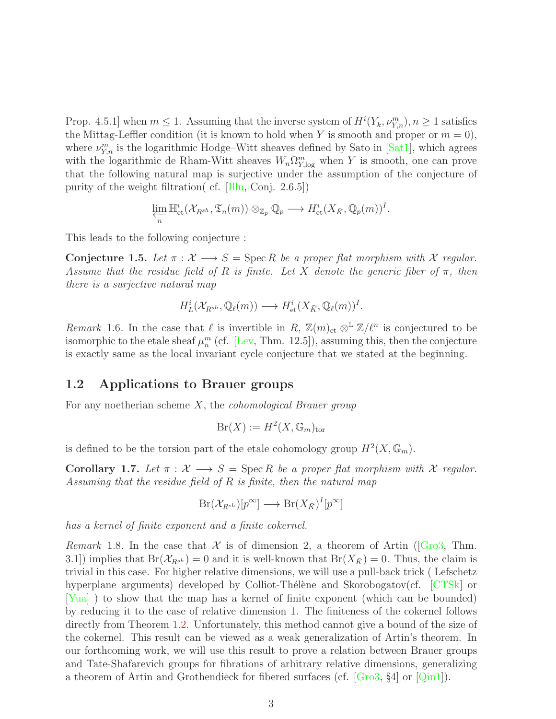Prop. 4.5.1] when  $m \leq 1$ . Assuming that the inverse system of  $H^{i}(Y_{\bar{k}}, \nu_{Y,n}^m), n \geq 1$  satisfies the Mittag-Leffler condition (it is known to hold when Y is smooth and proper or  $m = 0$ ), where  $\nu_{Y,n}^m$  is the logarithmic Hodge–Witt sheaves defined by Sato in [\[Sat1\]](#page-26-2), which agrees with the logarithmic de Rham-Witt sheaves  $W_n \Omega_{Y,\log}^m$  when Y is smooth, one can prove that the following natural map is surjective under the assumption of the conjecture of purity of the weight filtration( cf. [\[Illu,](#page-25-0) Conj. 2.6.5])

$$
\varprojlim_n \mathbb{H}^i_{\text{\rm et}}(\mathcal{X}_{R^{sh}},\mathfrak{T}_n(m)) \otimes_{\mathbb{Z}_p} \mathbb{Q}_p \longrightarrow H^i_{\text{\rm et}}(X_{\bar K},\mathbb{Q}_p(m))^I.
$$

This leads to the following conjecture :

Conjecture 1.5. Let  $\pi : \mathcal{X} \longrightarrow S = \text{Spec } R$  be a proper flat morphism with X regular. *Assume that the residue field of* R *is finite. Let* X *denote the generic fiber of* π*, then there is a surjective natural map*

$$
H^i_L(\mathcal{X}_{R^{sh}}, \mathbb{Q}_\ell(m)) \longrightarrow H^i_{\text{et}}(X_{\bar{K}}, \mathbb{Q}_\ell(m))^I.
$$

*Remark* 1.6. In the case that  $\ell$  is invertible in R,  $\mathbb{Z}(m)_{\text{et}} \otimes^{\mathbb{L}} \mathbb{Z}/\ell^n$  is conjectured to be isomorphic to the etale sheaf  $\mu_n^m$  (cf. [\[Lev,](#page-25-1) Thm. 12.5]), assuming this, then the conjecture is exactly same as the local invariant cycle conjecture that we stated at the beginning.

### <span id="page-2-0"></span>1.2 Applications to Brauer groups

For any noetherian scheme X, the *cohomological Brauer group*

$$
Br(X) := H^2(X, \mathbb{G}_m)_{\text{tor}}
$$

is defined to be the torsion part of the etale cohomology group  $H^2(X, \mathbb{G}_m)$ .

<span id="page-2-1"></span>Corollary 1.7. Let  $\pi : \mathcal{X} \longrightarrow S = \text{Spec } R$  be a proper flat morphism with X regular. *Assuming that the residue field of* R *is finite, then the natural map*

$$
Br(\mathcal{X}_{R^{sh}})[p^{\infty}] \longrightarrow Br(X_{\bar{K}})^{I}[p^{\infty}]
$$

*has a kernel of finite exponent and a finite cokernel.*

*Remark*1.8. In the case that  $\mathcal X$  is of dimension 2, a theorem of Artin ( $\vert$ Gro3, Thm. 3.1) implies that  $Br(\mathcal{X}_{\mathbb{R}^{sh}}) = 0$  and it is well-known that  $Br(X_{\bar{K}}) = 0$ . Thus, the claim is trivial in this case. For higher relative dimensions, we will use a pull-back trick ( Lefschetz hyperplane arguments) developed by Colliot-Thélène and Skorobogatov(cf. [\[CTSk\]](#page-24-3) or [\[Yua\]](#page-26-3) ) to show that the map has a kernel of finite exponent (which can be bounded) by reducing it to the case of relative dimension 1. The finiteness of the cokernel follows directly from Theorem [1.2.](#page-1-0) Unfortunately, this method cannot give a bound of the size of the cokernel. This result can be viewed as a weak generalization of Artin's theorem. In our forthcoming work, we will use this result to prove a relation between Brauer groups and Tate-Shafarevich groups for fibrations of arbitrary relative dimensions, generalizing a theorem of Artin and Grothendieck for fibered surfaces (cf.  $|G_{\rm ro}3, \t84|$  or  $|Q_{\rm in}1|$ ).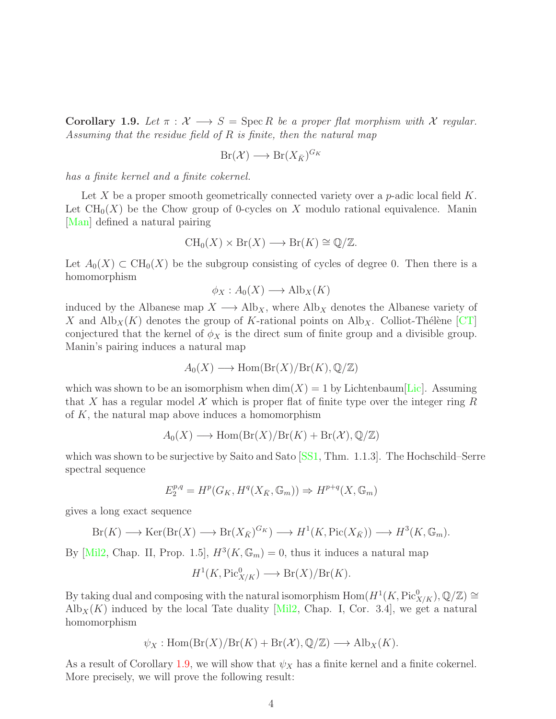<span id="page-3-0"></span>Corollary 1.9. Let  $\pi : \mathcal{X} \longrightarrow S = \text{Spec } R$  be a proper flat morphism with X regular. *Assuming that the residue field of* R *is finite, then the natural map*

$$
Br(\mathcal{X}) \longrightarrow Br(X_{\bar{K}})^{G_K}
$$

*has a finite kernel and a finite cokernel.*

Let X be a proper smooth geometrically connected variety over a  $p$ -adic local field  $K$ . Let  $\text{CH}_0(X)$  be the Chow group of 0-cycles on X modulo rational equivalence. Manin [\[Man\]](#page-25-4) defined a natural pairing

$$
CH_0(X) \times Br(X) \longrightarrow Br(K) \cong \mathbb{Q}/\mathbb{Z}.
$$

Let  $A_0(X) \subset \text{CH}_0(X)$  be the subgroup consisting of cycles of degree 0. Then there is a homomorphism

$$
\phi_X : A_0(X) \longrightarrow \text{Alb}_X(K)
$$

induced by the Albanese map  $X \longrightarrow \text{Alb}_X$ , where  $\text{Alb}_X$  denotes the Albanese variety of X and  $\text{Alb}_X(K)$  denotes the group of K-rational points on  $\text{Alb}_X$ . Colliot-Thélène [\[CT\]](#page-24-4) conjectured that the kernel of  $\phi_X$  is the direct sum of finite group and a divisible group. Manin's pairing induces a natural map

$$
A_0(X) \longrightarrow \text{Hom}(\text{Br}(X)/\text{Br}(K), \mathbb{Q}/\mathbb{Z})
$$

which was shown to be an isomorphism when  $\dim(X) = 1$  by Lichtenbaum[\[Lic\]](#page-25-5). Assuming that X has a regular model X which is proper flat of finite type over the integer ring R of  $K$ , the natural map above induces a homomorphism

$$
A_0(X) \longrightarrow \text{Hom}(\text{Br}(X)/\text{Br}(K) + \text{Br}(\mathcal{X}), \mathbb{Q}/\mathbb{Z})
$$

which was shown to be surjective by Saito and Sato [\[SS1,](#page-26-4) Thm. 1.1.3]. The Hochschild–Serre spectral sequence

$$
E_2^{p,q} = H^p(G_K, H^q(X_{\bar{K}}, \mathbb{G}_m)) \Rightarrow H^{p+q}(X, \mathbb{G}_m)
$$

gives a long exact sequence

$$
Br(K) \longrightarrow \text{Ker}(\text{Br}(X) \longrightarrow \text{Br}(X_{\bar{K}})^{G_K}) \longrightarrow H^1(K, \text{Pic}(X_{\bar{K}})) \longrightarrow H^3(K, \mathbb{G}_m).
$$

By [\[Mil2,](#page-25-6) Chap. II, Prop. 1.5],  $H^3(K, \mathbb{G}_m) = 0$ , thus it induces a natural map

$$
H^1(K, \text{Pic}^0_{X/K}) \longrightarrow \text{Br}(X)/\text{Br}(K).
$$

By taking dual and composing with the natural isomorphism  $\text{Hom}(H^1(K, \text{Pic}^0_{X/K}), \mathbb{Q}/\mathbb{Z}) \cong$  $\text{Alb}_X(K)$  induced by the local Tate duality  $[Mil2, Chap. I, Cor. 3.4]$ , we get a natural homomorphism

$$
\psi_X : \text{Hom}(\text{Br}(X)/\text{Br}(K) + \text{Br}(\mathcal{X}), \mathbb{Q}/\mathbb{Z}) \longrightarrow \text{Alb}_X(K).
$$

As a result of Corollary [1.9,](#page-3-0) we will show that  $\psi_X$  has a finite kernel and a finite cokernel. More precisely, we will prove the following result: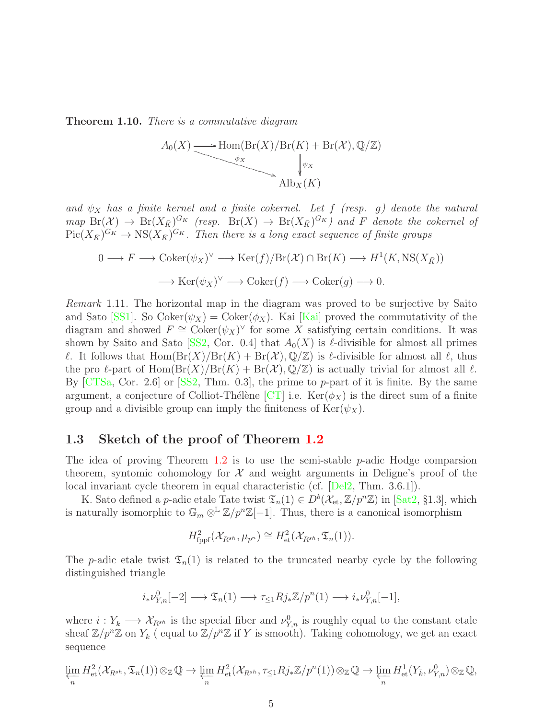<span id="page-4-1"></span>Theorem 1.10. *There is a commutative diagram*



and  $\psi_X$  has a finite kernel and a finite cokernel. Let f (resp. g) denote the natural  $map\; \text{Br}(\mathcal{X}) \to \text{Br}(X_{\bar{K}})^{G_K}$  (resp.  $\text{Br}(X) \to \text{Br}(X_{\bar{K}})^{G_K}$ ) and F denote the cokernel of  $Pic(X_{\bar K})^{G_K} \to \text{NS}(X_{\bar K})^{G_K}$ . Then there is a long exact sequence of finite groups

$$
0 \longrightarrow F \longrightarrow \operatorname{Coker}(\psi_X)^{\vee} \longrightarrow \operatorname{Ker}(f)/\operatorname{Br}(\mathcal{X}) \cap \operatorname{Br}(K) \longrightarrow H^1(K, \operatorname{NS}(X_{\bar{K}}))
$$

$$
\longrightarrow \operatorname{Ker}(\psi_X)^{\vee} \longrightarrow \operatorname{Coker}(f) \longrightarrow \operatorname{Coker}(g) \longrightarrow 0.
$$

<span id="page-4-2"></span>*Remark* 1.11*.* The horizontal map in the diagram was proved to be surjective by Saito and Sato [\[SS1\]](#page-26-4). So  $Coker(\psi_X) = Coker(\phi_X)$ . Kai [\[Kai\]](#page-25-7) proved the commutativity of the diagram and showed  $F \cong \text{Coker}(\psi_X)^\vee$  for some X satisfying certain conditions. It was shown by Saito and Sato [\[SS2,](#page-26-5) Cor. 0.4] that  $A_0(X)$  is  $\ell$ -divisible for almost all primes  $\ell$ . It follows that  $\text{Hom}(\text{Br}(X)/\text{Br}(K) + \text{Br}(\mathcal{X}), \mathbb{Q}/\mathbb{Z})$  is  $\ell$ -divisible for almost all  $\ell$ , thus the pro  $\ell$ -part of Hom $(\text{Br}(X)/\text{Br}(K) + \text{Br}(\mathcal{X}), \mathbb{Q}/\mathbb{Z})$  is actually trivial for almost all  $\ell$ . By  $\left[CTSa, Cor. 2.6\right]$  or  $\left[SS2, Thm. 0.3\right]$ , the prime to p-part of it is finite. By the same argument, a conjecture of Colliot-Thélène [\[CT\]](#page-24-4) i.e.  $\text{Ker}(\phi_X)$  is the direct sum of a finite group and a divisible group can imply the finiteness of  $\text{Ker}(\psi_X)$ .

### <span id="page-4-0"></span>1.3 Sketch of the proof of Theorem [1.2](#page-1-0)

The idea of proving Theorem [1.2](#page-1-0) is to use the semi-stable  $p$ -adic Hodge comparsion theorem, syntomic cohomology for  $\mathcal X$  and weight arguments in Deligne's proof of the local invariant cycle theorem in equal characteristic (cf. [\[Del2,](#page-24-6) Thm. 3.6.1]).

K. Sato defined a p-adic etale Tate twist  $\mathfrak{T}_n(1) \in D^b(\mathcal{X}_{et}, \mathbb{Z}/p^n\mathbb{Z})$  in [\[Sat2,](#page-26-1) §1.3], which is naturally isomorphic to  $\mathbb{G}_m \otimes^{\mathbb{L}} \mathbb{Z}/p^n \mathbb{Z}[-1]$ . Thus, there is a canonical isomorphism

$$
H^2_{\text{fppf}}(\mathcal{X}_{R^{sh}}, \mu_{p^n}) \cong H^2_{\text{et}}(\mathcal{X}_{R^{sh}}, \mathfrak{T}_n(1)).
$$

The p-adic etale twist  $\mathfrak{T}_n(1)$  is related to the truncated nearby cycle by the following distinguished triangle

$$
i_*\nu^0_{Y,n}[-2]\longrightarrow \mathfrak{T}_n(1)\longrightarrow \tau_{\leq 1}Rj_*\mathbb{Z}/p^n(1)\longrightarrow i_*\nu^0_{Y,n}[-1],
$$

where  $i: Y_{\bar{k}} \longrightarrow \mathcal{X}_{R^{sh}}$  is the special fiber and  $\nu_{Y,n}^0$  is roughly equal to the constant etale sheaf  $\mathbb{Z}/p^n\mathbb{Z}$  on  $Y_{\bar{k}}$  (equal to  $\mathbb{Z}/p^n\mathbb{Z}$  if Y is smooth). Taking cohomology, we get an exact sequence

$$
\varprojlim_{n} H^{2}_{\text{et}}(\mathcal{X}_{R^{sh}}, \mathfrak{T}_{n}(1)) \otimes_{\mathbb{Z}} \mathbb{Q} \to \varprojlim_{n} H^{2}_{\text{et}}(\mathcal{X}_{R^{sh}}, \tau_{\leq 1} Rj_{*}\mathbb{Z}/p^{n}(1)) \otimes_{\mathbb{Z}} \mathbb{Q} \to \varprojlim_{n} H^{1}_{\text{et}}(Y_{\bar{k}}, \nu_{Y,n}^{0}) \otimes_{\mathbb{Z}} \mathbb{Q},
$$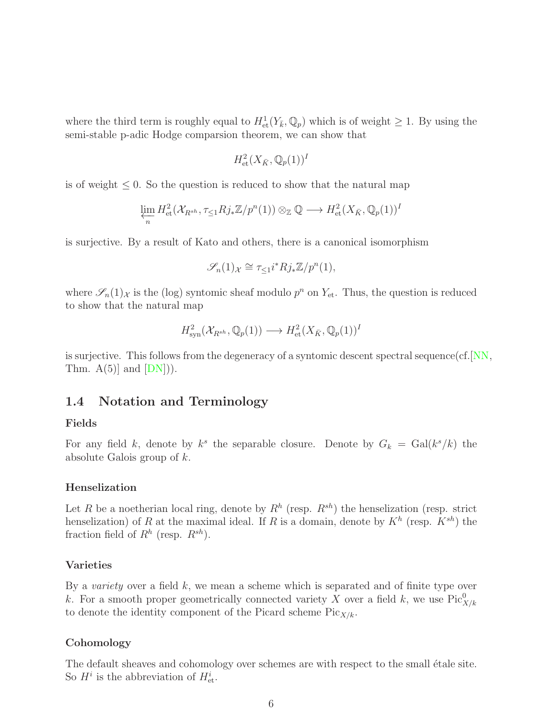where the third term is roughly equal to  $H^1_{\text{\rm et}}(Y_{\bar k}, \mathbb{Q}_p)$  which is of weight  $\geq 1$ . By using the semi-stable p-adic Hodge comparsion theorem, we can show that

$$
H^2_{\text{et}}(X_{\bar{K}},\mathbb{Q}_p(1))^I
$$

is of weight  $\leq 0$ . So the question is reduced to show that the natural map

$$
\varprojlim_{n} H^{2}_{\mathrm{et}}(\mathcal{X}_{R^{sh}}, \tau_{\leq 1} R j_{*} \mathbb{Z}/p^{n}(1)) \otimes_{\mathbb{Z}} \mathbb{Q} \longrightarrow H^{2}_{\mathrm{et}}(X_{\bar{K}}, \mathbb{Q}_{p}(1))^{I}
$$

is surjective. By a result of Kato and others, there is a canonical isomorphism

$$
\mathscr{S}_n(1)_{\mathcal{X}} \cong \tau_{\leq 1} i^* R j_* \mathbb{Z}/p^n(1),
$$

where  $\mathscr{S}_n(1)_{\mathcal{X}}$  is the (log) syntomic sheaf modulo  $p^n$  on  $Y_{\text{et}}$ . Thus, the question is reduced to show that the natural map

$$
H^2_{\text{syn}}(\mathcal{X}_{R^{sh}}, \mathbb{Q}_p(1)) \longrightarrow H^2_{\text{et}}(X_{\bar{K}}, \mathbb{Q}_p(1))^I
$$

is surjective. This follows from the degeneracy of a syntomic descent spectral sequence(cf.  $[NN,$ Thm.  $A(5)$  and  $[DN]$ ).

### <span id="page-5-0"></span>1.4 Notation and Terminology

#### Fields

For any field k, denote by  $k^s$  the separable closure. Denote by  $G_k = \text{Gal}(k^s/k)$  the absolute Galois group of k.

#### Henselization

Let R be a noetherian local ring, denote by  $R^h$  (resp.  $R^{sh}$ ) the henselization (resp. strict henselization) of R at the maximal ideal. If R is a domain, denote by  $K^h$  (resp.  $K^{sh}$ ) the fraction field of  $R^h$  (resp.  $R^{sh}$ ).

#### Varieties

By a *variety* over a field k, we mean a scheme which is separated and of finite type over k. For a smooth proper geometrically connected variety X over a field k, we use  $Pic^0_{X/k}$ to denote the identity component of the Picard scheme  $Pic_{X/k}$ .

#### **Cohomology**

The default sheaves and cohomology over schemes are with respect to the small étale site. So  $H^i$  is the abbreviation of  $H^i_{\text{\rm et}}$ .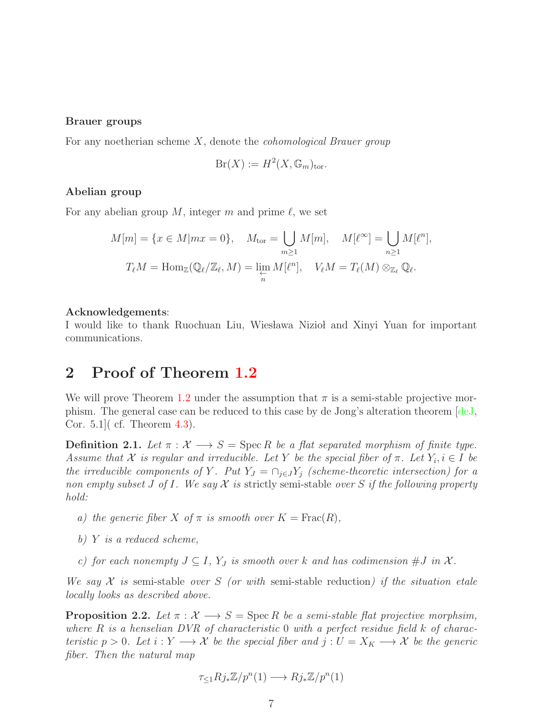#### Brauer groups

For any noetherian scheme X, denote the *cohomological Brauer group*

$$
Br(X) := H^2(X, \mathbb{G}_m)_{\text{tor}}.
$$

#### Abelian group

For any abelian group M, integer m and prime  $\ell$ , we set

$$
M[m] = \{x \in M | mx = 0\}, \quad M_{\text{tor}} = \bigcup_{m \ge 1} M[m], \quad M[\ell^{\infty}] = \bigcup_{n \ge 1} M[\ell^n],
$$

$$
T_{\ell}M = \text{Hom}_{\mathbb{Z}}(\mathbb{Q}_{\ell}/\mathbb{Z}_{\ell}, M) = \lim_{\substack{n \to \ell \\ n}} M[\ell^n], \quad V_{\ell}M = T_{\ell}(M) \otimes_{\mathbb{Z}_{\ell}} \mathbb{Q}_{\ell}.
$$

#### Acknowledgements:

I would like to thank Ruochuan Liu, Wieslawa Niziol and Xinyi Yuan for important communications.

# <span id="page-6-0"></span>2 Proof of Theorem [1.2](#page-1-0)

We will prove Theorem [1.2](#page-1-0) under the assumption that  $\pi$  is a semi-stable projective morphism. The general case can be reduced to this case by de Jong's alteration theorem [\[deJ,](#page-24-8) Cor. 5.1]( cf. Theorem [4.3\)](#page-23-0).

**Definition 2.1.** Let  $\pi : \mathcal{X} \longrightarrow S = \text{Spec } R$  be a flat separated morphism of finite type. *Assume that*  $X$  *is regular and irreducible. Let* Y *be the special fiber of*  $\pi$ *. Let*  $Y_i, i \in I$  *be the irreducible components of* Y. Put  $Y_J = \bigcap_{j \in J} Y_j$  *(scheme-theoretic intersection) for a non empty subset* J *of* I*. We say* X *is* strictly semi-stable *over* S *if the following property hold:*

- *a)* the generic fiber X of  $\pi$  is smooth over  $K = \text{Frac}(R)$ ,
- *b)* Y *is a reduced scheme,*
- *c)* for each nonempty  $J \subseteq I$ ,  $Y_J$  is smooth over k and has codimension  $\#J$  in  $\mathcal{X}$ .

*We say* X *is* semi-stable *over* S *(or with* semi-stable reduction*) if the situation etale locally looks as described above.*

<span id="page-6-1"></span>**Proposition 2.2.** *Let*  $\pi : \mathcal{X} \longrightarrow S = \text{Spec } R$  *be a semi-stable flat projective morphsim, where* R *is a henselian DVR of characteristic* 0 *with a perfect residue field* k *of characteristic*  $p > 0$ *. Let*  $i : Y \longrightarrow X$  *be the special fiber and*  $j : U = X_K \longrightarrow X$  *be the generic fiber. Then the natural map*

$$
\tau_{\leq 1} R j_* \mathbb{Z}/p^n(1) \longrightarrow R j_* \mathbb{Z}/p^n(1)
$$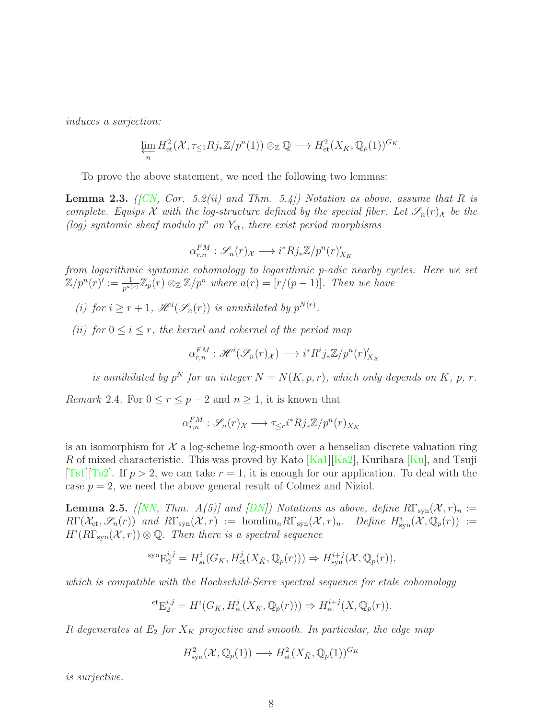*induces a surjection:*

$$
\varprojlim_{n} H^{2}_{\mathrm{et}}(\mathcal{X}, \tau_{\leq 1} R j_{*} \mathbb{Z}/p^{n}(1)) \otimes_{\mathbb{Z}} \mathbb{Q} \longrightarrow H^{2}_{\mathrm{et}}(X_{\bar{K}}, \mathbb{Q}_{p}(1))^{G_{K}}.
$$

To prove the above statement, we need the following two lemmas:

<span id="page-7-0"></span>**Lemma 2.3.** *([\[CN,](#page-24-9) Cor. 5.2(ii) and Thm. 5.4]) Notation as above, assume that*  $R$  *is complete. Equips* X with the log-structure defined by the special fiber. Let  $\mathscr{S}_n(r)_\mathcal{X}$  be the (log) syntomic sheaf modulo  $p^n$  on  $Y_{et}$ , there exist period morphisms

$$
\alpha_{r,n}^{FM} : \mathscr{S}_n(r)_{\mathcal{X}} \longrightarrow i^* R j_* \mathbb{Z}/p^n(r)_{X_K}
$$

*from logarithmic syntomic cohomology to logarithmic p-adic nearby cycles. Here we set*  $\mathbb{Z}/p^n(r) := \frac{1}{p^{a(r)}} \mathbb{Z}_p(r) \otimes_{\mathbb{Z}} \mathbb{Z}/p^n$  where  $a(r) = [r/(p-1)].$  Then we have

*(i)* for  $i \geq r+1$ ,  $\mathcal{H}^i(\mathcal{S}_n(r))$  *is annihilated by*  $p^{N(r)}$ *.* 

*(ii)* for  $0 \le i \le r$ , the kernel and cokernel of the period map

$$
\alpha_{r,n}^{FM} : \mathscr{H}^i(\mathscr{S}_n(r)_\mathcal{X}) \longrightarrow i^*R^ij_*\mathbb{Z}/p^n(r)_{X_K}^r
$$

*is annihilated by*  $p^N$  *for an integer*  $N = N(K, p, r)$ *, which only depends on* K, p, r.

*Remark* 2.4. For  $0 \le r \le p-2$  and  $n \ge 1$ , it is known that

$$
\alpha_{r,n}^{FM} : \mathscr{S}_n(r)_{\mathcal{X}} \longrightarrow \tau_{\leq r} i^* R j_* \mathbb{Z}/p^n(r)_{X_K}
$$

is an isomorphism for  $\mathcal X$  a log-scheme log-smooth over a henselian discrete valuation ring R of mixed characteristic. This was proved by Kato  $[Ka1][Ka2]$  $[Ka1][Ka2]$ , Kurihara  $[Ku]$ , and Tsuji [\[Ts1\]](#page-26-6)[\[Ts2\]](#page-26-7). If  $p > 2$ , we can take  $r = 1$ , it is enough for our application. To deal with the case  $p = 2$ , we need the above general result of Colmez and Niziol.

<span id="page-7-1"></span>**Lemma 2.5.** *([\[NN,](#page-25-8) Thm. A(5)] and*  $\overline{DN}$ *) Notations as above, define*  $R\Gamma_{syn}(X,r)_n :=$  $R\Gamma(\mathcal{X}_{et},\mathscr{S}_n(r))$  and  $R\Gamma_{syn}(\mathcal{X},r) := \text{homlim}_n R\Gamma_{syn}(\mathcal{X},r)_n$ . Define  $H^i_{syn}(\mathcal{X},\mathbb{Q}_p(r)) :=$  $H^{i}(R\Gamma_{syn}(\mathcal{X}, r))\otimes\mathbb{Q}$ . Then there is a spectral sequence

$$
{}^{\text{syn}}\mathcal{E}^{i,j}_2 = H^i_{st}(G_K, H^j_{\text{et}}(X_{\bar{K}}, \mathbb{Q}_p(r))) \Rightarrow H^{i+j}_{\text{syn}}(\mathcal{X}, \mathbb{Q}_p(r)),
$$

*which is compatible with the Hochschild-Serre spectral sequence for etale cohomology*

$$
{}^{\mathrm{et}}\mathcal{E}_2^{i,j} = H^i(G_K, H^j_{\mathrm{et}}(X_{\bar{K}}, \mathbb{Q}_p(r))) \Rightarrow H^{i+j}_{\mathrm{et}}(X, \mathbb{Q}_p(r)).
$$

It degenerates at  $E_2$  for  $X_K$  projective and smooth. In particular, the edge map

$$
H^2_{\text{syn}}(\mathcal{X}, \mathbb{Q}_p(1)) \longrightarrow H^2_{\text{et}}(X_{\bar{K}}, \mathbb{Q}_p(1))^{G_K}
$$

*is surjective.*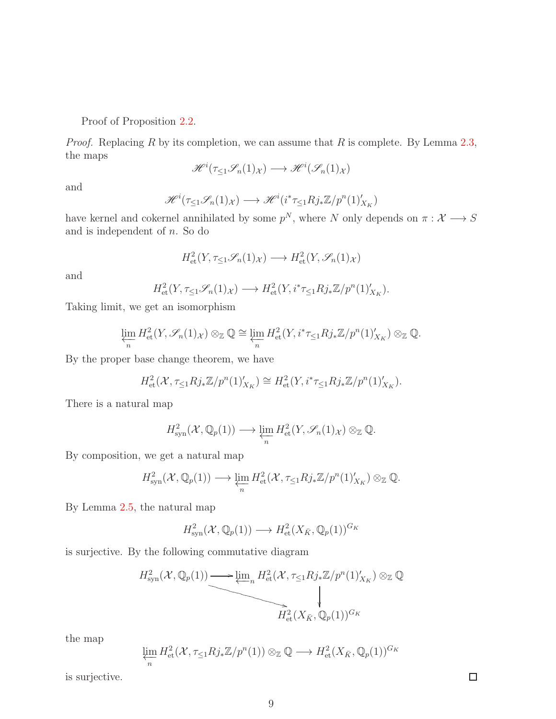Proof of Proposition 2.[2.](#page-6-1)

*Proof.* Replacing R by its completion, we can assume that R is complete. By Lemma  $2.3$ , the maps

$$
\mathscr{H}^i(\tau_{\leq 1}\mathscr{S}_n(1)_{\mathcal{X}}) \longrightarrow \mathscr{H}^i(\mathscr{S}_n(1)_{\mathcal{X}})
$$

and

$$
\mathscr{H}^{i}(\tau_{\leq 1}\mathscr{S}_{n}(1)_{\mathcal{X}}) \longrightarrow \mathscr{H}^{i}(i^{*}\tau_{\leq 1}Rj_{*}\mathbb{Z}/p^{n}(1)'_{X_{K}})
$$

have kernel and cokernel annihilated by some  $p^N$ , where N only depends on  $\pi: \mathcal{X} \longrightarrow S$ and is independent of n. So do

$$
H^2_{\text{et}}(Y, \tau_{\leq 1} \mathscr{S}_n(1)_{\mathcal{X}}) \longrightarrow H^2_{\text{et}}(Y, \mathscr{S}_n(1)_{\mathcal{X}})
$$

and

$$
H^2_{\text{et}}(Y, \tau_{\leq 1} \mathscr{S}_n(1)_{\mathcal{X}}) \longrightarrow H^2_{\text{et}}(Y, i^* \tau_{\leq 1} R j_* \mathbb{Z}/p^n(1)_{X_K}').
$$

Taking limit, we get an isomorphism

$$
\varprojlim_{n} H^{2}_{\mathrm{et}}(Y, \mathscr{S}_{n}(1)_{\mathcal{X}}) \otimes_{\mathbb{Z}} \mathbb{Q} \cong \varprojlim_{n} H^{2}_{\mathrm{et}}(Y, i^{*}\tau_{\leq 1}Rj_{*}\mathbb{Z}/p^{n}(1)'_{X_{K}}) \otimes_{\mathbb{Z}} \mathbb{Q}.
$$

By the proper base change theorem, we have

$$
H^2_{\text{et}}(\mathcal{X}, \tau_{\leq 1} R j_* \mathbb{Z}/p^n(1)'_{X_K}) \cong H^2_{\text{et}}(Y, i^* \tau_{\leq 1} R j_* \mathbb{Z}/p^n(1)'_{X_K}).
$$

There is a natural map

$$
H_{\text{syn}}^2(\mathcal{X},\mathbb{Q}_p(1)) \longrightarrow \varprojlim_n H_{\text{et}}^2(Y,\mathscr{S}_n(1)_\mathcal{X}) \otimes_{\mathbb{Z}} \mathbb{Q}.
$$

By composition, we get a natural map

$$
H_{\text{syn}}^2(\mathcal{X}, \mathbb{Q}_p(1)) \longrightarrow \varprojlim_n H_{\text{et}}^2(\mathcal{X}, \tau_{\leq 1} R j_* \mathbb{Z}/p^n(1)'_{X_K}) \otimes_{\mathbb{Z}} \mathbb{Q}.
$$

By Lemma 2.[5,](#page-7-1) the natural map

$$
H^2_{\text{syn}}(\mathcal{X}, \mathbb{Q}_p(1)) \longrightarrow H^2_{\text{et}}(X_{\bar{K}}, \mathbb{Q}_p(1))^{G_K}
$$

is surjective. By the following commutative diagram

$$
H_{\text{syn}}^2(\mathcal{X}, \mathbb{Q}_p(1)) \longrightarrow \underbrace{\lim_{n} H_{\text{et}}^2(\mathcal{X}, \tau_{\leq 1} R j_* \mathbb{Z}/p^n(1)'_{X_K}) \otimes_{\mathbb{Z}} \mathbb{Q}}_{H_{\text{et}}^2(X_{\bar{K}}, \mathbb{Q}_p(1))^{G_K}}
$$

the map

$$
\varprojlim_{n} H^{2}_{\mathrm{et}}(\mathcal{X}, \tau_{\leq 1} R j_{*} \mathbb{Z}/p^{n}(1)) \otimes_{\mathbb{Z}} \mathbb{Q} \longrightarrow H^{2}_{\mathrm{et}}(X_{\bar{K}}, \mathbb{Q}_{p}(1))^{G_{K}}
$$

is surjective.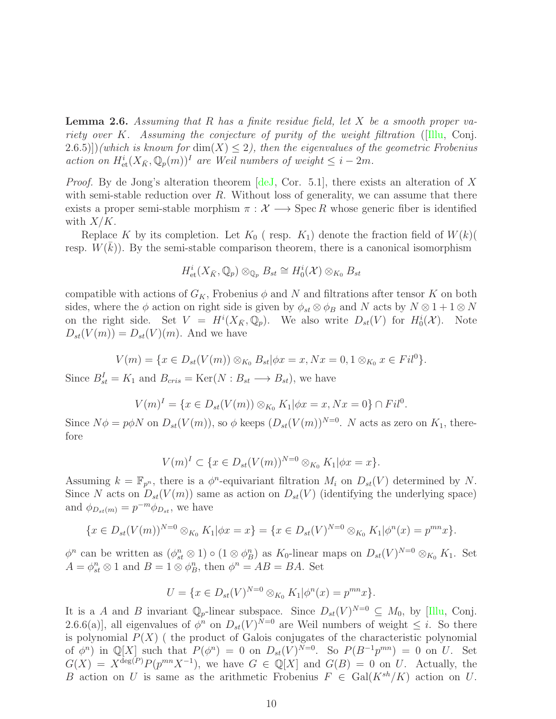<span id="page-9-0"></span>Lemma 2.6. *Assuming that* R *has a finite residue field, let* X *be a smooth proper variety over* K*. Assuming the conjecture of purity of the weight filtration* ([\[Illu,](#page-25-0) Conj.  $(2.6.5))$ )*(which is known for* dim $(X) \leq 2$ ), then the eigenvalues of the geometric Frobenius *action on*  $H^i_{\text{et}}(X_{\bar{K}}, \mathbb{Q}_p(m))^I$  *are Weil numbers of weight*  $\leq i - 2m$ *.* 

*Proof.* By de Jong's alteration theorem [\[deJ,](#page-24-8) Cor. 5.1], there exists an alteration of X with semi-stable reduction over R. Without loss of generality, we can assume that there exists a proper semi-stable morphism  $\pi : \mathcal{X} \longrightarrow \mathrm{Spec} R$  whose generic fiber is identified with  $X/K$ .

Replace K by its completion. Let  $K_0$  (resp.  $K_1$ ) denote the fraction field of  $W(k)$ resp.  $W(\bar{k})$ ). By the semi-stable comparison theorem, there is a canonical isomorphism

$$
H^i_{\text{\rm et}}(X_{\bar K},{\mathbb Q}_p)\otimes_{{\mathbb Q}_p}B_{st}\cong H^i_0({\mathcal X})\otimes_{K_0}B_{st}
$$

compatible with actions of  $G_K$ , Frobenius  $\phi$  and N and filtrations after tensor K on both sides, where the  $\phi$  action on right side is given by  $\phi_{st} \otimes \phi_B$  and N acts by  $N \otimes 1 + 1 \otimes N$ on the right side. Set  $V = H^{i}(X_{\bar{K}}, \mathbb{Q}_p)$ . We also write  $D_{st}(V)$  for  $H^{i}_{0}(\mathcal{X})$ . Note  $D_{st}(V(m)) = D_{st}(V)(m)$ . And we have

$$
V(m) = \{x \in D_{st}(V(m)) \otimes_{K_0} B_{st} | \phi x = x, Nx = 0, 1 \otimes_{K_0} x \in Fil^0\}.
$$

Since  $B_{st}^I = K_1$  and  $B_{cris} = \text{Ker}(N : B_{st} \longrightarrow B_{st}),$  we have

$$
V(m)^{I} = \{x \in D_{st}(V(m)) \otimes_{K_0} K_1 | \phi x = x, Nx = 0\} \cap Fil^{0}.
$$

Since  $N\phi = p\phi N$  on  $D_{st}(V(m))$ , so  $\phi$  keeps  $(D_{st}(V(m))^{N=0}$ . N acts as zero on  $K_1$ , therefore

$$
V(m)^{I} \subset \{x \in D_{st}(V(m))^{N=0} \otimes_{K_0} K_1 | \phi x = x\}.
$$

Assuming  $k = \mathbb{F}_{p^n}$ , there is a  $\phi^n$ -equivariant filtration  $M_i$  on  $D_{st}(V)$  determined by N. Since N acts on  $D_{st}(V(m))$  same as action on  $D_{st}(V)$  (identifying the underlying space) and  $\phi_{D_{st}(m)} = p^{-m} \phi_{D_{st}}$ , we have

$$
\{x \in D_{st}(V(m))^{N=0} \otimes_{K_0} K_1 | \phi x = x\} = \{x \in D_{st}(V)^{N=0} \otimes_{K_0} K_1 | \phi^n(x) = p^{mn} x\}.
$$

 $\phi^n$  can be written as  $(\phi_{st}^n \otimes 1) \circ (1 \otimes \phi_B^n)$  as  $K_0$ -linear maps on  $D_{st}(V)^{N=0} \otimes_{K_0} K_1$ . Set  $A = \phi_{st}^n \otimes 1$  and  $B = 1 \otimes \phi_B^n$ , then  $\phi^n = AB = BA$ . Set

$$
U = \{ x \in D_{st}(V)^{N=0} \otimes_{K_0} K_1 | \phi^n(x) = p^{mn} x \}.
$$

It is a A and B invariant  $\mathbb{Q}_p$ -linear subspace. Since  $D_{st}(V)^{N=0} \subseteq M_0$ , by [\[Illu,](#page-25-0) Conj. 2.6.6(a)], all eigenvalues of  $\phi^n$  on  $D_{st}(V)^{N=0}$  are Weil numbers of weight  $\leq i$ . So there is polynomial  $P(X)$  (the product of Galois conjugates of the characteristic polynomial of  $\phi^n$ ) in  $\mathbb{Q}[X]$  such that  $P(\phi^n) = 0$  on  $D_{st}(V)^{N=0}$ . So  $P(B^{-1}p^{mn}) = 0$  on U. Set  $G(X) = X^{\deg(P)} P(p^{mn} X^{-1}),$  we have  $G \in \mathbb{Q}[X]$  and  $G(B) = 0$  on U. Actually, the B action on U is same as the arithmetic Frobenius  $F \in \text{Gal}(K^{sh}/K)$  action on U.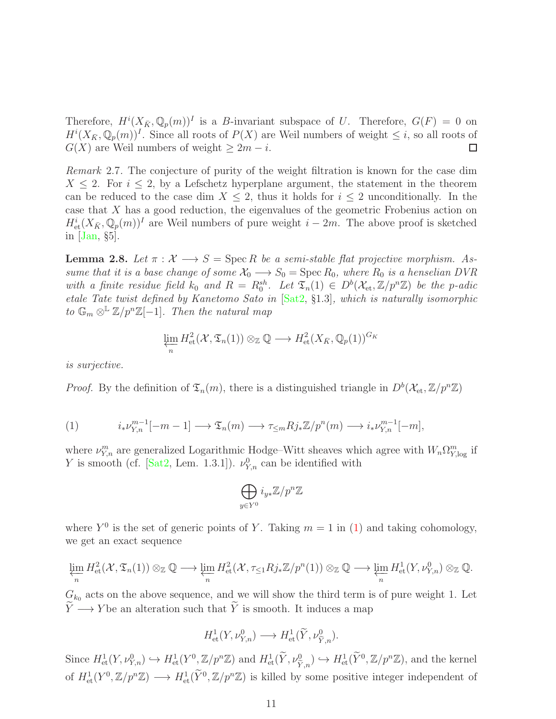Therefore,  $H^{i}(X_{\bar{K}}, \mathbb{Q}_p(m))^I$  is a B-invariant subspace of U. Therefore,  $G(F) = 0$  on  $H^{i}(X_{\bar{K}}, \mathbb{Q}_p(m))^I$ . Since all roots of  $P(X)$  are Weil numbers of weight  $\leq i$ , so all roots of  $G(X)$  are Weil numbers of weight  $\geq 2m - i$ .  $\Box$ 

*Remark* 2.7*.* The conjecture of purity of the weight filtration is known for the case dim  $X \leq 2$ . For  $i \leq 2$ , by a Lefschetz hyperplane argument, the statement in the theorem can be reduced to the case dim  $X \leq 2$ , thus it holds for  $i \leq 2$  unconditionally. In the case that X has a good reduction, the eigenvalues of the geometric Frobenius action on  $H^i_{\text{\rm et}}(X_{\bar K}, \mathbb{Q}_p(m))^I$  are Weil numbers of pure weight  $i-2m$ . The above proof is sketched in [\[Jan,](#page-25-12) §5].

<span id="page-10-1"></span>**Lemma 2.8.** Let  $\pi : \mathcal{X} \longrightarrow S = \text{Spec } R$  be a semi-stable flat projective morphism. As*sume that it is a base change of some*  $\mathcal{X}_0 \longrightarrow S_0 = \text{Spec } R_0$ *, where*  $R_0$  *is a henselian DVR* with a finite residue field  $k_0$  and  $R = R_0^{sh}$ . Let  $\mathfrak{T}_n(1) \in D^b(\mathcal{X}_{et}, \mathbb{Z}/p^n\mathbb{Z})$  be the p-adic *etale Tate twist defined by Kanetomo Sato in* [\[Sat2,](#page-26-1) §1.3]*, which is naturally isomorphic to*  $\mathbb{G}_m \otimes^{\mathbb{L}} \mathbb{Z}/p^n\mathbb{Z}[-1]$ *. Then the natural map* 

$$
\varprojlim_{n} H^{2}_{\mathrm{et}}(\mathcal{X}, \mathfrak{T}_{n}(1)) \otimes_{\mathbb{Z}} \mathbb{Q} \longrightarrow H^{2}_{\mathrm{et}}(X_{\bar{K}}, \mathbb{Q}_{p}(1))^{G_{K}}
$$

*is surjective.*

*Proof.* By the definition of  $\mathfrak{T}_n(m)$ , there is a distinguished triangle in  $D^b(\mathcal{X}_{et}, \mathbb{Z}/p^n\mathbb{Z})$ 

<span id="page-10-0"></span>(1) 
$$
i_* \nu_{Y,n}^{m-1}[-m-1] \longrightarrow \mathfrak{T}_n(m) \longrightarrow \tau_{\leq m} R j_* \mathbb{Z}/p^n(m) \longrightarrow i_* \nu_{Y,n}^{m-1}[-m],
$$

where  $\nu_{Y,n}^m$  are generalized Logarithmic Hodge–Witt sheaves which agree with  $W_n \Omega_{Y,\text{log}}^m$  if Y is smooth (cf. [\[Sat2,](#page-26-1) Lem. 1.3.1]).  $\nu_{Y,n}^0$  can be identified with

$$
\bigoplus_{y\in Y^0} i_{y*}{\mathbb Z}/p^n{\mathbb Z}
$$

where  $Y^0$  is the set of generic points of Y. Taking  $m = 1$  in [\(1\)](#page-10-0) and taking cohomology, we get an exact sequence

$$
\varprojlim_{n} H^{2}_{\mathrm{et}}(\mathcal{X}, \mathfrak{T}_{n}(1)) \otimes_{\mathbb{Z}} \mathbb{Q} \longrightarrow \varprojlim_{n} H^{2}_{\mathrm{et}}(\mathcal{X}, \tau_{\leq 1} R j_{*} \mathbb{Z}/p^{n}(1)) \otimes_{\mathbb{Z}} \mathbb{Q} \longrightarrow \varprojlim_{n} H^{1}_{\mathrm{et}}(Y, \nu_{Y,n}^{0}) \otimes_{\mathbb{Z}} \mathbb{Q}.
$$

 $G_{k_0}$  acts on the above sequence, and we will show the third term is of pure weight 1. Let  $\widetilde{Y} \longrightarrow Y$  be an alteration such that  $\widetilde{Y}$  is smooth. It induces a map

$$
H^1_{\text{et}}(Y, \nu^0_{Y,n}) \longrightarrow H^1_{\text{et}}(\widetilde{Y}, \nu^0_{\widetilde{Y},n}).
$$

Since  $H^1_{\text{\rm et}}(Y, \nu^0_{Y,n}) \hookrightarrow H^1_{\text{\rm et}}(Y^0, \mathbb{Z}/p^n\mathbb{Z})$  and  $H^1_{\text{\rm et}}(\tilde{Y}, \nu^0_{\tilde{Y},n}) \hookrightarrow H^1_{\text{\rm et}}(\tilde{Y}^0, \mathbb{Z}/p^n\mathbb{Z})$ , and the kernel of  $H^1_{\text{et}}(Y^0, \mathbb{Z}/p^n\mathbb{Z}) \longrightarrow H^1_{\text{et}}(\tilde{Y}^0, \mathbb{Z}/p^n\mathbb{Z})$  is killed by some positive integer independent of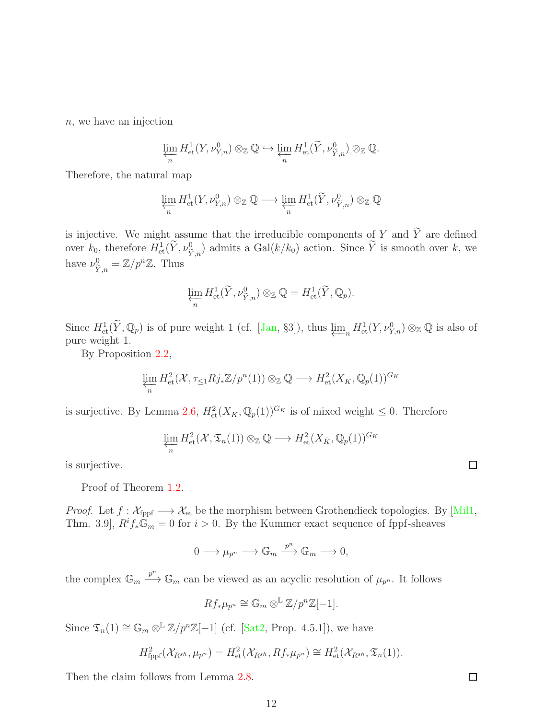n, we have an injection

$$
\varprojlim_{n} H_{\mathrm{et}}^{1}(Y, \nu_{Y,n}^{0}) \otimes_{\mathbb{Z}} \mathbb{Q} \hookrightarrow \varprojlim_{n} H_{\mathrm{et}}^{1}(\widetilde{Y}, \nu_{\widetilde{Y},n}^{0}) \otimes_{\mathbb{Z}} \mathbb{Q}.
$$

Therefore, the natural map

$$
\varprojlim_{n} H_{\mathrm{et}}^{1}(Y, \nu_{Y,n}^{0}) \otimes_{\mathbb{Z}} \mathbb{Q} \longrightarrow \varprojlim_{n} H_{\mathrm{et}}^{1}(\widetilde{Y}, \nu_{\widetilde{Y},n}^{0}) \otimes_{\mathbb{Z}} \mathbb{Q}
$$

is injective. We might assume that the irreducible components of Y and  $\widetilde{Y}$  are defined over  $k_0$ , therefore  $H^1_{\text{et}}(\tilde{Y}, \nu_{\tilde{Y},n}^0)$  admits a  $Gal(k/k_0)$  action. Since  $\tilde{Y}$  is smooth over k, we have  $\nu_{\widetilde{Y},n}^0 = \mathbb{Z}/p^n\mathbb{Z}$ . Thus

$$
\varprojlim_{n} H_{\text{et}}^{1}(\widetilde{Y}, \nu_{\widetilde{Y},n}^{0}) \otimes_{\mathbb{Z}} \mathbb{Q} = H_{\text{et}}^{1}(\widetilde{Y}, \mathbb{Q}_{p}).
$$

Since  $H^1_{\text{\rm et}}(\tilde{Y}, \mathbb{Q}_p)$  is of pure weight 1 (cf. [\[Jan,](#page-25-12) §3]), thus  $\varprojlim_n H^1_{\text{\rm et}}(Y, \nu_{Y,n}^0) \otimes_{\mathbb{Z}} \mathbb{Q}$  is also of pure weight 1.

By Proposition 2.[2,](#page-6-1)

$$
\varprojlim_{n} H^{2}_{\mathrm{et}}(\mathcal{X}, \tau_{\leq 1} R j_{*} \mathbb{Z}/p^{n}(1)) \otimes_{\mathbb{Z}} \mathbb{Q} \longrightarrow H^{2}_{\mathrm{et}}(X_{\bar{K}}, \mathbb{Q}_{p}(1))^{G_{K}}
$$

is surjective. By Lemma 2.[6,](#page-9-0)  $H^2_{\text{\rm et}}(X_{\bar K}, \mathbb{Q}_p(1))^{G_K}$  is of mixed weight  $\leq 0$ . Therefore

$$
\varprojlim_{n} H^{2}_{\text{et}}(\mathcal{X}, \mathfrak{T}_{n}(1)) \otimes_{\mathbb{Z}} \mathbb{Q} \longrightarrow H^{2}_{\text{et}}(X_{\bar{K}}, \mathbb{Q}_{p}(1))^{G_{K}}
$$

is surjective.

Proof of Theorem [1.2.](#page-1-0)

*Proof.* Let  $f: \mathcal{X}_{\text{fppf}} \longrightarrow \mathcal{X}_{\text{et}}$  be the morphism between Grothendieck topologies. By [\[Mil1,](#page-25-13) Thm. 3.9],  $R^if_*\mathbb{G}_m=0$  for  $i>0$ . By the Kummer exact sequence of fppf-sheaves

$$
0 \longrightarrow \mu_{p^n} \longrightarrow \mathbb{G}_m \xrightarrow{p^n} \mathbb{G}_m \longrightarrow 0,
$$

the complex  $\mathbb{G}_m \xrightarrow{p^n} \mathbb{G}_m$  can be viewed as an acyclic resolution of  $\mu_{p^n}$ . It follows

$$
Rf_*\mu_{p^n} \cong \mathbb{G}_m \otimes^{\mathbb{L}} \mathbb{Z}/p^n\mathbb{Z}[-1].
$$

Since  $\mathfrak{T}_n(1) \cong \mathbb{G}_m \otimes^{\mathbb{L}} \mathbb{Z}/p^n \mathbb{Z}[-1]$  (cf. [\[Sat2,](#page-26-1) Prop. 4.5.1]), we have

$$
H_{\text{fppf}}^2(\mathcal{X}_{R^{sh}}, \mu_{p^n}) = H_{\text{et}}^2(\mathcal{X}_{R^{sh}}, Rf_*\mu_{p^n}) \cong H_{\text{et}}^2(\mathcal{X}_{R^{sh}}, \mathfrak{T}_n(1)).
$$

Then the claim follows from Lemma [2.8.](#page-10-1)

 $\Box$ 

□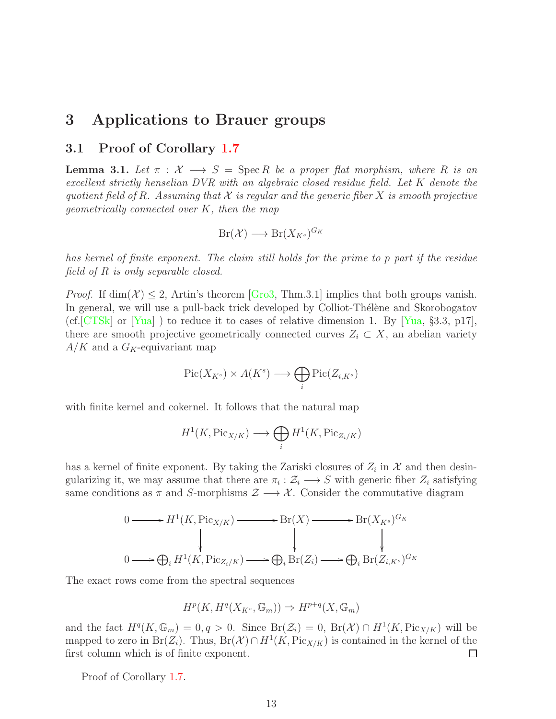# <span id="page-12-1"></span><span id="page-12-0"></span>3 Applications to Brauer groups

### 3.1 Proof of Corollary [1.7](#page-2-1)

**Lemma 3.1.** Let  $\pi$  :  $\mathcal{X} \longrightarrow S = \text{Spec } R$  be a proper flat morphism, where R is an *excellent strictly henselian DVR with an algebraic closed residue field. Let* K *denote the quotient field of R. Assuming that*  $\mathcal X$  *is regular and the generic fiber*  $X$  *is smooth projective geometrically connected over* K*, then the map*

$$
Br(\mathcal{X}) \longrightarrow Br(X_{K^s})^{G_K}
$$

*has kernel of finite exponent. The claim still holds for the prime to* p *part if the residue field of* R *is only separable closed.*

*Proof.* If  $\dim(\mathcal{X}) \leq 2$ , Artin's theorem [\[Gro3,](#page-25-2) Thm.3.1] implies that both groups vanish. In general, we will use a pull-back trick developed by Colliot-Thélène and Skorobogatov (cf.  $[CTSk]$  or  $[Yua]$ ) to reduce it to cases of relative dimension 1. By  $[Yua, §3.3, p17]$ , there are smooth projective geometrically connected curves  $Z_i \subset X$ , an abelian variety  $A/K$  and a  $G_K$ -equivariant map

$$
\operatorname{Pic}(X_{K^s}) \times A(K^s) \longrightarrow \bigoplus_i \operatorname{Pic}(Z_{i,K^s})
$$

with finite kernel and cokernel. It follows that the natural map

$$
H^1(K, \text{Pic}_{X/K}) \longrightarrow \bigoplus_i H^1(K, \text{Pic}_{Z_i/K})
$$

has a kernel of finite exponent. By taking the Zariski closures of  $Z_i$  in  $\mathcal X$  and then desingularizing it, we may assume that there are  $\pi_i : \mathcal{Z}_i \longrightarrow S$  with generic fiber  $Z_i$  satisfying same conditions as  $\pi$  and S-morphisms  $\mathcal{Z} \longrightarrow \mathcal{X}$ . Consider the commutative diagram

$$
0 \longrightarrow H^{1}(K, Pic_{X/K}) \longrightarrow Br(X) \longrightarrow Br(X_{K^{s}})^{G_{K}}
$$
  

$$
0 \longrightarrow \bigoplus_{i} H^{1}(K, Pic_{Z_{i}/K}) \longrightarrow \bigoplus_{i} Br(Z_{i}) \longrightarrow \bigoplus_{i} Br(Z_{i,K^{s}})^{G_{K}}
$$

The exact rows come from the spectral sequences

$$
H^p(K, H^q(X_{K^s}, \mathbb{G}_m)) \Rightarrow H^{p+q}(X, \mathbb{G}_m)
$$

and the fact  $H^q(K, \mathbb{G}_m) = 0, q > 0$ . Since  $Br(\mathcal{Z}_i) = 0$ ,  $Br(\mathcal{X}) \cap H^1(K, Pic_{X/K})$  will be mapped to zero in Br(Z<sub>i</sub>). Thus, Br(X)∩  $H^1(K, \text{Pic}_{X/K})$  is contained in the kernel of the first column which is of finite exponent. □

Proof of Corollary [1.7.](#page-2-1)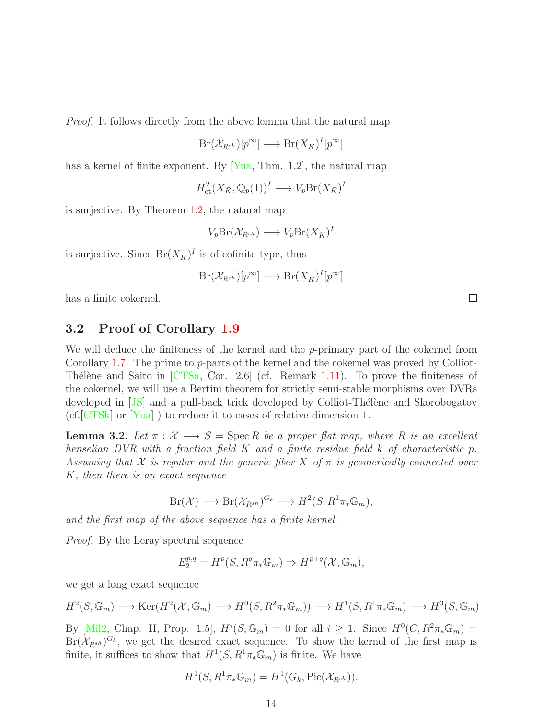*Proof.* It follows directly from the above lemma that the natural map

$$
Br(\mathcal{X}_{R^{sh}})[p^{\infty}] \longrightarrow Br(X_{\bar{K}})^{I}[p^{\infty}]
$$

has a kernel of finite exponent. By [\[Yua,](#page-26-3) Thm. 1.2], the natural map

$$
H^2_{\text{et}}(X_{\bar{K}}, \mathbb{Q}_p(1))^I \longrightarrow V_p \text{Br}(X_{\bar{K}})^I
$$

is surjective. By Theorem [1.2,](#page-1-0) the natural map

$$
V_p Br(\mathcal{X}_{R^{sh}}) \longrightarrow V_p Br(X_{\bar{K}})^I
$$

is surjective. Since  $Br(X_{\bar{K}})^{I}$  is of cofinite type, thus

$$
Br(\mathcal{X}_{R^{sh}})[p^{\infty}] \longrightarrow Br(X_{\bar{K}})^{I}[p^{\infty}]
$$

<span id="page-13-0"></span>has a finite cokernel.

### 3.2 Proof of Corollary [1.9](#page-3-0)

We will deduce the finiteness of the kernel and the  $p$ -primary part of the cokernel from Corollary [1.7.](#page-2-1) The prime to p-parts of the kernel and the cokernel was proved by Colliot-Thélène and Saito in  $[CTSa, Cor. 2.6]$  (cf. Remark [1.11\)](#page-4-2). To prove the finiteness of the cokernel, we will use a Bertini theorem for strictly semi-stable morphisms over DVRs developed in [\[JS\]](#page-25-14) and a pull-back trick developed by Colliot-Thélène and Skorobogatov (cf.[\[CTSk\]](#page-24-3) or [\[Yua\]](#page-26-3) ) to reduce it to cases of relative dimension 1.

<span id="page-13-1"></span>**Lemma 3.2.** Let  $\pi : \mathcal{X} \longrightarrow S = \text{Spec } R$  be a proper flat map, where R is an excellent *henselian DVR with a fraction field* K *and a finite residue field* k *of characteristic* p*. Assuming that* X *is regular and the generic fiber* X *of* π *is geomerically connected over* K*, then there is an exact sequence*

$$
Br(\mathcal{X}) \longrightarrow Br(\mathcal{X}_{R^{sh}})^{G_k} \longrightarrow H^2(S, R^1 \pi_* \mathbb{G}_m),
$$

*and the first map of the above sequence has a finite kernel.*

*Proof.* By the Leray spectral sequence

$$
E_2^{p,q} = H^p(S, R^q \pi_* \mathbb{G}_m) \Rightarrow H^{p+q}(\mathcal{X}, \mathbb{G}_m),
$$

we get a long exact sequence

$$
H^2(S, \mathbb{G}_m) \longrightarrow \text{Ker}(H^2(\mathcal{X}, \mathbb{G}_m) \longrightarrow H^0(S, R^2 \pi_* \mathbb{G}_m)) \longrightarrow H^1(S, R^1 \pi_* \mathbb{G}_m) \longrightarrow H^3(S, \mathbb{G}_m)
$$

By [\[Mil2,](#page-25-6) Chap. II, Prop. 1.5],  $H^i(S, \mathbb{G}_m) = 0$  for all  $i \geq 1$ . Since  $H^0(C, R^2 \pi_* \mathbb{G}_m) =$  $Br(\mathcal{X}_{R^{sh}})^{G_k}$ , we get the desired exact sequence. To show the kernel of the first map is finite, it suffices to show that  $H^1(S, R^1\pi_*\mathbb{G}_m)$  is finite. We have

$$
H^1(S, R^1 \pi_* \mathbb{G}_m) = H^1(G_k, \text{Pic}(\mathcal{X}_{R^{sh}})).
$$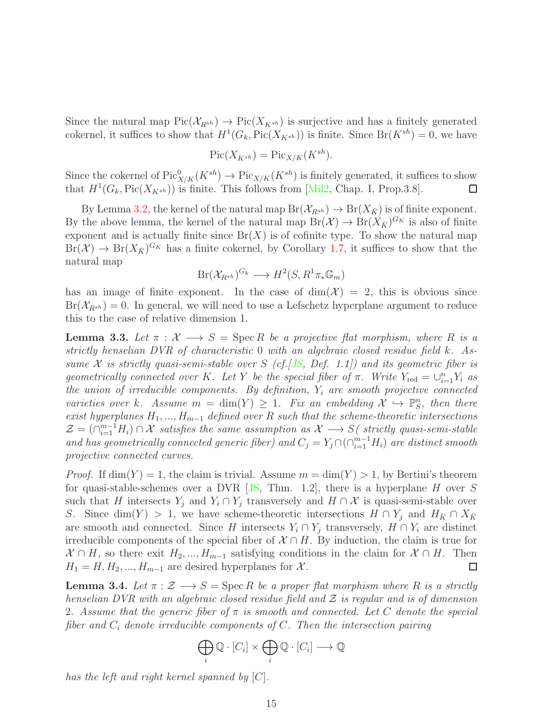Since the natural map  $Pic(\mathcal{X}_{R^{sh}}) \to Pic(X_{K^{sh}})$  is surjective and has a finitely generated cokernel, it suffices to show that  $H^1(G_k, Pic(X_{K^{sh}}))$  is finite. Since  $Br(K^{sh}) = 0$ , we have

$$
\operatorname{Pic}(X_{K^{sh}}) = \operatorname{Pic}_{X/K}(K^{sh}).
$$

Since the cokernel of  $Pic^0_{X/K}(K^{sh}) \to Pic_{X/K}(K^{sh})$  is finitely generated, it suffices to show that  $H^1(G_k, \text{Pic}(X_{K^{sh}}))$  is finite. This follows from [\[Mil2,](#page-25-6) Chap. I, Prop.3.8].  $\Box$ 

By Lemma [3.2,](#page-13-1) the kernel of the natural map  $Br(\mathcal{X}_{R^{sh}}) \to Br(X_{\bar{K}})$  is of finite exponent. By the above lemma, the kernel of the natural map  $Br(\mathcal{X}) \to Br(X_{\bar{K}})^{G_K}$  is also of finite exponent and is actually finite since  $Br(X)$  is of cofinite type. To show the natural map  $Br(\mathcal{X}) \to Br(X_{\bar{K}})^{G_K}$  has a finite cokernel, by Corollary [1.7,](#page-2-1) it suffices to show that the natural map

$$
Br(\mathcal{X}_{R^{sh}})^{G_k} \longrightarrow H^2(S, R^1\pi_*\mathbb{G}_m)
$$

has an image of finite exponent. In the case of  $\dim(\mathcal{X}) = 2$ , this is obvious since  $Br(\mathcal{X}_{R^{sh}}) = 0$ . In general, we will need to use a Lefschetz hyperplane argument to reduce this to the case of relative dimension 1.

<span id="page-14-1"></span>**Lemma 3.3.** Let  $\pi : \mathcal{X} \longrightarrow S = \text{Spec } R$  be a projective flat morphism, where R is a *strictly henselian DVR of characteristic* 0 *with an algebraic closed residue field* k*. Assume* X *is strictly quasi-semi-stable over* S *(cf.[\[JS,](#page-25-14) Def. 1.1]) and its geometric fiber is geometrically connected over* K*. Let* Y *be the special fiber of*  $\pi$ *. Write*  $Y_{\text{red}} = \bigcup_{i=1}^{n} Y_i$  *as the union of irreducible components. By definition,* Y<sup>i</sup> *are smooth projective connected varieties over* k. Assume  $m = \dim(Y) \geq 1$ . Fix an embedding  $\mathcal{X} \hookrightarrow \mathbb{P}_{S}^{n}$ , then there *exist hyperplanes*  $H_1$ , ...,  $H_{m-1}$  *defined over* R *such that the scheme-theoretic intersections*  $\mathcal{Z} = (\bigcap_{i=1}^{m-1} H_i) \cap \mathcal{X}$  satisfies the same assumption as  $\mathcal{X} \longrightarrow S$  (strictly quasi-semi-stable *and has geometrically connected generic fiber) and*  $C_j = Y_j \cap (\bigcap_{i=1}^{m-1} H_i)$  *are distinct smooth projective connected curves.*

*Proof.* If  $\dim(Y) = 1$ , the claim is trivial. Assume  $m = \dim(Y) > 1$ , by Bertini's theorem for quasi-stable-schemes over a DVR [\[JS,](#page-25-14) Thm. 1.2], there is a hyperplane  $H$  over  $S$ such that H intersects  $Y_i$  and  $Y_i \cap Y_j$  transversely and  $H \cap \mathcal{X}$  is quasi-semi-stable over S. Since dim(Y) > 1, we have scheme-theoretic intersections  $H \cap Y_j$  and  $H_{\bar{K}} \cap X_{\bar{K}}$ are smooth and connected. Since H intersects  $Y_i \cap Y_j$  transversely,  $H \cap Y_i$  are distinct irreducible components of the special fiber of  $\mathcal{X} \cap H$ . By induction, the claim is true for  $\mathcal{X} \cap H$ , so there exit  $H_2, ..., H_{m-1}$  satisfying conditions in the claim for  $\mathcal{X} \cap H$ . Then  $H_1 = H, H_2, ..., H_{m-1}$  are desired hyperplanes for X. □

<span id="page-14-0"></span>**Lemma 3.4.** Let  $\pi : \mathcal{Z} \longrightarrow S = \text{Spec } R$  be a proper flat morphism where R is a strictly *henselian DVR with an algebraic closed residue field and* Z *is regular and is of dimension* 2*. Assume that the generic fiber of* π *is smooth and connected. Let* C *denote the special fiber and* C<sup>i</sup> *denote irreducible components of* C*. Then the intersection pairing*

$$
\bigoplus_i \mathbb{Q} \cdot [C_i] \times \bigoplus_i \mathbb{Q} \cdot [C_i] \longrightarrow \mathbb{Q}
$$

*has the left and right kernel spanned by* [C]*.*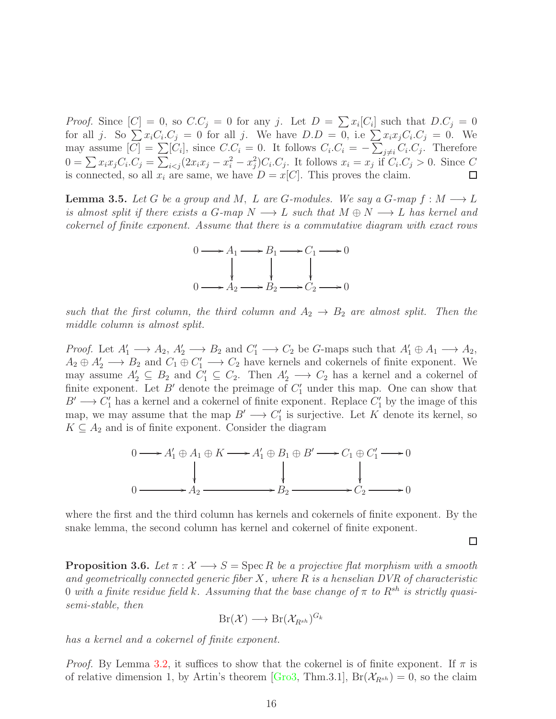*Proof.* Since  $[C] = 0$ , so  $C.C_j = 0$  for any j. Let  $D = \sum x_i [C_i]$  such that  $D.C_j = 0$ for all j. So  $\sum x_i C_i C_j = 0$  for all j. We have  $D.D = 0$ , i.e  $\sum x_i x_j C_i C_j = 0$ . We may assume  $[C] = \sum [C_i]$ , since  $C_i C_i = 0$ . It follows  $C_i C_i = -\sum_{j \neq i} C_i C_j$ . Therefore  $0 = \sum x_i x_j C_i C_j = \sum_{i < j} (2x_i x_j - x_i^2 - x_j^2) C_i C_j$ . It follows  $x_i = x_j \text{ if } C_i C_j > 0$ . Since C is connected, so all  $x_i$  are same, we have  $D = x[C]$ . This proves the claim.  $\Box$ 

<span id="page-15-0"></span>**Lemma 3.5.** *Let* G *be a group and* M, L are G-modules. We say a G-map  $f : M \longrightarrow L$ *is almost split if there exists a G-map*  $N \longrightarrow L$  *such that*  $M \oplus N \longrightarrow L$  *has kernel and cokernel of finite exponent. Assume that there is a commutative diagram with exact rows*



*such that the first column, the third column and*  $A_2 \rightarrow B_2$  *are almost split. Then the middle column is almost split.*

*Proof.* Let  $A'_1 \longrightarrow A_2$ ,  $A'_2 \longrightarrow B_2$  and  $C'_1 \longrightarrow C_2$  be G-maps such that  $A'_1 \oplus A_1 \longrightarrow A_2$ ,  $A_2 \oplus A'_2 \longrightarrow B_2$  and  $C_1 \oplus C'_1 \longrightarrow C_2$  have kernels and cokernels of finite exponent. We may assume  $A'_2 \subseteq B_2$  and  $C'_1 \subseteq C_2$ . Then  $A'_2 \longrightarrow C_2$  has a kernel and a cokernel of finite exponent. Let  $B'$  denote the preimage of  $C'_{1}$  under this map. One can show that  $B' \longrightarrow C'_1$  has a kernel and a cokernel of finite exponent. Replace  $C'_1$  by the image of this map, we may assume that the map  $B' \longrightarrow C'_1$  is surjective. Let K denote its kernel, so  $K \subseteq A_2$  and is of finite exponent. Consider the diagram

$$
0 \longrightarrow A'_1 \oplus A_1 \oplus K \longrightarrow A'_1 \oplus B_1 \oplus B' \longrightarrow C_1 \oplus C'_1 \longrightarrow 0
$$
  

$$
0 \longrightarrow A_2 \longrightarrow B_2 \longrightarrow C_2 \longrightarrow 0
$$

where the first and the third column has kernels and cokernels of finite exponent. By the snake lemma, the second column has kernel and cokernel of finite exponent.

□

<span id="page-15-1"></span>**Proposition 3.6.** Let  $\pi : \mathcal{X} \longrightarrow S = \text{Spec } R$  be a projective flat morphism with a smooth *and geometrically connected generic fiber* X*, where* R *is a henselian DVR of characteristic* 0 *with a finite residue field* k. Assuming that the base change of  $\pi$  to  $R^{sh}$  is strictly quasi*semi-stable, then*

$$
Br(\mathcal{X}) \longrightarrow Br(\mathcal{X}_{R^{sh}})^{G_k}
$$

*has a kernel and a cokernel of finite exponent.*

*Proof.* By Lemma [3.2,](#page-13-1) it suffices to show that the cokernel is of finite exponent. If  $\pi$  is of relative dimension 1, by Artin's theorem [\[Gro3,](#page-25-2) Thm.3.1],  $Br(\mathcal{X}_{R^{sh}}) = 0$ , so the claim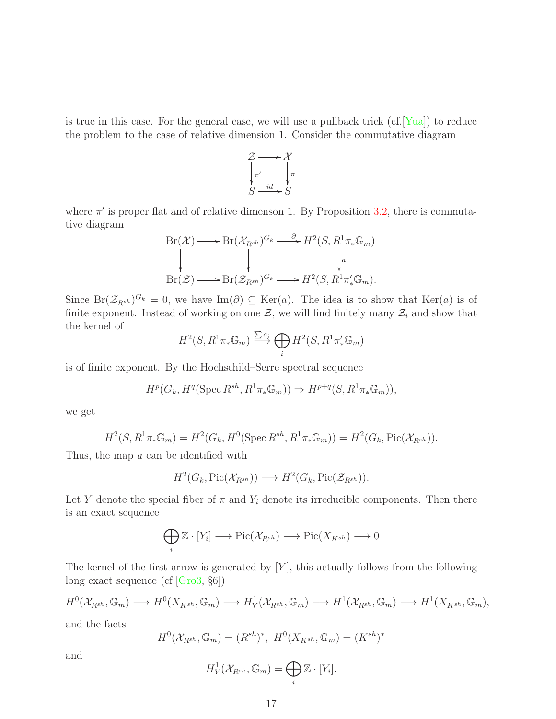is true in this case. For the general case, we will use a pullback trick  $(cf.|Yua|)$  to reduce the problem to the case of relative dimension 1. Consider the commutative diagram



where  $\pi'$  is proper flat and of relative dimenson 1. By Proposition [3.2,](#page-13-1) there is commutative diagram

$$
\text{Br}(\mathcal{X}) \longrightarrow \text{Br}(\mathcal{X}_{R^{sh}})^{G_k} \longrightarrow H^2(S, R^1 \pi_* \mathbb{G}_m)
$$
\n
$$
\downarrow \qquad \qquad \downarrow a
$$
\n
$$
\text{Br}(\mathcal{Z}) \longrightarrow \text{Br}(\mathcal{Z}_{R^{sh}})^{G_k} \longrightarrow H^2(S, R^1 \pi'_* \mathbb{G}_m).
$$

Since  $Br(\mathcal{Z}_{R^{sh}})^{G_k} = 0$ , we have Im( $\partial$ )  $\subseteq$  Ker(a). The idea is to show that Ker(a) is of finite exponent. Instead of working on one  $\mathcal{Z}$ , we will find finitely many  $\mathcal{Z}_i$  and show that the kernel of

$$
H^2(S, R^1 \pi_* \mathbb{G}_m) \xrightarrow{\sum a_i} \bigoplus_i H^2(S, R^1 \pi'_* \mathbb{G}_m)
$$

is of finite exponent. By the Hochschild–Serre spectral sequence

$$
H^p(G_k, H^q(\operatorname{Spec} R^{sh}, R^1\pi_*\mathbb{G}_m)) \Rightarrow H^{p+q}(S, R^1\pi_*\mathbb{G}_m)),
$$

we get

$$
H^2(S, R^1\pi_*\mathbb{G}_m) = H^2(G_k, H^0(\operatorname{Spec} R^{sh}, R^1\pi_*\mathbb{G}_m)) = H^2(G_k, \operatorname{Pic}(\mathcal{X}_{R^{sh}})).
$$

Thus, the map a can be identified with

$$
H^2(G_k, \mathrm{Pic}(\mathcal{X}_{R^{sh}})) \longrightarrow H^2(G_k, \mathrm{Pic}(\mathcal{Z}_{R^{sh}})).
$$

Let Y denote the special fiber of  $\pi$  and  $Y_i$  denote its irreducible components. Then there is an exact sequence

$$
\bigoplus_i \mathbb{Z} \cdot [Y_i] \longrightarrow Pic(\mathcal{X}_{R^{sh}}) \longrightarrow Pic(X_{K^{sh}}) \longrightarrow 0
$$

The kernel of the first arrow is generated by  $[Y]$ , this actually follows from the following long exact sequence (cf.[\[Gro3,](#page-25-2) §6])

$$
H^0(\mathcal{X}_{R^{sh}}, \mathbb{G}_m) \longrightarrow H^0(X_{K^{sh}}, \mathbb{G}_m) \longrightarrow H^1_Y(\mathcal{X}_{R^{sh}}, \mathbb{G}_m) \longrightarrow H^1(\mathcal{X}_{R^{sh}}, \mathbb{G}_m) \longrightarrow H^1(X_{K^{sh}}, \mathbb{G}_m),
$$

and the facts

$$
H^{0}(\mathcal{X}_{R^{sh}}, \mathbb{G}_{m}) = (R^{sh})^{*}, H^{0}(X_{K^{sh}}, \mathbb{G}_{m}) = (K^{sh})^{*}
$$

and

$$
H_Y^1(\mathcal{X}_{R^{sh}}, \mathbb{G}_m) = \bigoplus_i \mathbb{Z} \cdot [Y_i].
$$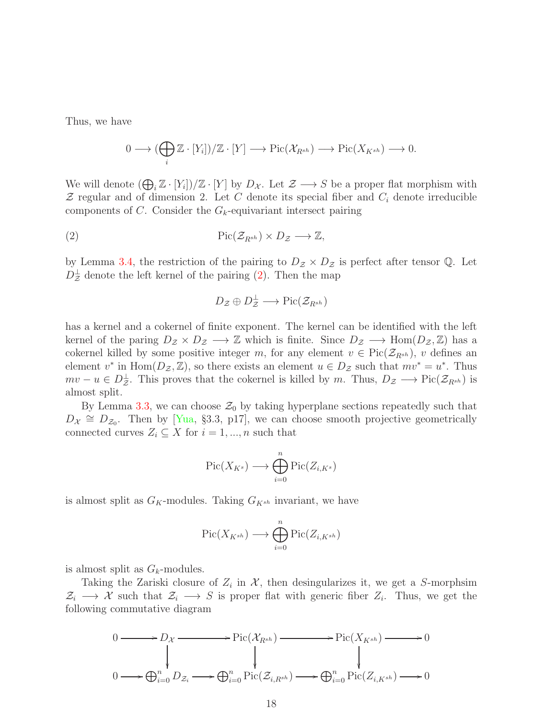Thus, we have

$$
0 \longrightarrow (\bigoplus_i \mathbb{Z} \cdot [Y_i])/\mathbb{Z} \cdot [Y] \longrightarrow Pic(\mathcal{X}_{R^{sh}}) \longrightarrow Pic(X_{K^{sh}}) \longrightarrow 0.
$$

We will denote  $(\bigoplus_i \mathbb{Z} \cdot [Y_i])/\mathbb{Z} \cdot [Y]$  by  $D_{\mathcal{X}}$ . Let  $\mathcal{Z} \longrightarrow S$  be a proper flat morphism with  $\mathcal Z$  regular and of dimension 2. Let C denote its special fiber and  $C_i$  denote irreducible components of C. Consider the  $G_k$ -equivariant intersect pairing

(2) Pic(ZRsh ) × D<sup>Z</sup> −→ Z,

by Lemma [3.4,](#page-14-0) the restriction of the pairing to  $D_z \times D_z$  is perfect after tensor Q. Let  $D^{\perp}_{\mathcal{Z}}$  denote the left kernel of the pairing [\(2\)](#page-17-0). Then the map

<span id="page-17-0"></span>
$$
D_{\mathcal{Z}} \oplus D_{\mathcal{Z}}^{\perp} \longrightarrow Pic(\mathcal{Z}_{R^{sh}})
$$

has a kernel and a cokernel of finite exponent. The kernel can be identified with the left kernel of the paring  $D_z \times D_z \longrightarrow \mathbb{Z}$  which is finite. Since  $D_z \longrightarrow \text{Hom}(D_z, \mathbb{Z})$  has a cokernel killed by some positive integer m, for any element  $v \in Pic(\mathcal{Z}_{R^{sh}})$ , v defines an element  $v^*$  in  $Hom(D_{\mathcal{Z}}, \mathbb{Z})$ , so there exists an element  $u \in D_{\mathcal{Z}}$  such that  $mv^* = u^*$ . Thus  $mv - u \in D^{\perp}_z$ . This proves that the cokernel is killed by m. Thus,  $D_z \longrightarrow Pic(\mathcal{Z}_{R^{sh}})$  is almost split.

By Lemma [3.3,](#page-14-1) we can choose  $\mathcal{Z}_0$  by taking hyperplane sections repeatedly such that  $D_{\mathcal{X}} \cong D_{\mathcal{Z}_0}$ . Then by [\[Yua,](#page-26-3) §3.3, p17], we can choose smooth projective geometrically connected curves  $Z_i \subseteq X$  for  $i = 1, ..., n$  such that

$$
\operatorname{Pic}(X_{K^s}) \longrightarrow \bigoplus_{i=0}^n \operatorname{Pic}(Z_{i,K^s})
$$

is almost split as  $G_K$ -modules. Taking  $G_{K^{sh}}$  invariant, we have

$$
\operatorname{Pic}(X_{K^{sh}}) \longrightarrow \bigoplus_{i=0}^n \operatorname{Pic}(Z_{i,K^{sh}})
$$

is almost split as  $G_k$ -modules.

Taking the Zariski closure of  $Z_i$  in  $\mathcal{X}$ , then desingularizes it, we get a S-morphsim  $\mathcal{Z}_i \longrightarrow \mathcal{X}$  such that  $\mathcal{Z}_i \longrightarrow S$  is proper flat with generic fiber  $Z_i$ . Thus, we get the following commutative diagram

$$
0 \longrightarrow D_{\mathcal{X}} \longrightarrow Pic(\mathcal{X}_{R^{sh}}) \longrightarrow Pic(X_{K^{sh}}) \longrightarrow 0
$$
  
\n
$$
\downarrow \qquad \qquad \downarrow \qquad \qquad \downarrow
$$
  
\n
$$
0 \longrightarrow \bigoplus_{i=0}^{n} D_{\mathcal{Z}_{i}} \longrightarrow \bigoplus_{i=0}^{n} Pic(\mathcal{Z}_{i,R^{sh}}) \longrightarrow \bigoplus_{i=0}^{n} Pic(\mathcal{Z}_{i,K^{sh}}) \longrightarrow 0
$$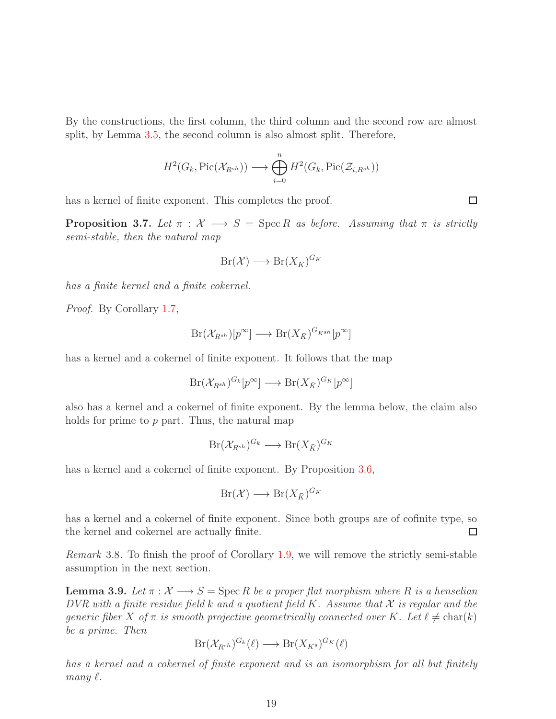By the constructions, the first column, the third column and the second row are almost split, by Lemma [3.5,](#page-15-0) the second column is also almost split. Therefore,

$$
H^2(G_k, \mathrm{Pic}(\mathcal{X}_{R^{sh}})) \longrightarrow \bigoplus_{i=0}^n H^2(G_k, \mathrm{Pic}(\mathcal{Z}_{i,R^{sh}}))
$$

has a kernel of finite exponent. This completes the proof.

<span id="page-18-0"></span>**Proposition 3.7.** Let  $\pi$  :  $\mathcal{X} \longrightarrow S = \text{Spec } R$  as before. Assuming that  $\pi$  is strictly *semi-stable, then the natural map*

$$
Br(\mathcal{X}) \longrightarrow Br(X_{\bar{K}})^{G_K}
$$

*has a finite kernel and a finite cokernel.*

*Proof.* By Corollary [1.7,](#page-2-1)

$$
Br(\mathcal{X}_{R^{sh}})[p^{\infty}] \longrightarrow Br(X_{\bar{K}})^{G_{K^{sh}}}[p^{\infty}]
$$

has a kernel and a cokernel of finite exponent. It follows that the map

$$
Br(\mathcal{X}_{R^{sh}})^{G_k}[p^{\infty}] \longrightarrow Br(X_{\bar{K}})^{G_K}[p^{\infty}]
$$

also has a kernel and a cokernel of finite exponent. By the lemma below, the claim also holds for prime to  $p$  part. Thus, the natural map

$$
Br(\mathcal{X}_{R^{sh}})^{G_k} \longrightarrow Br(X_{\bar{K}})^{G_K}
$$

has a kernel and a cokernel of finite exponent. By Proposition [3.6,](#page-15-1)

$$
Br(\mathcal{X}) \longrightarrow Br(X_{\bar{K}})^{G_K}
$$

has a kernel and a cokernel of finite exponent. Since both groups are of cofinite type, so the kernel and cokernel are actually finite. □

*Remark* 3.8*.* To finish the proof of Corollary [1.9,](#page-3-0) we will remove the strictly semi-stable assumption in the next section.

**Lemma 3.9.** Let  $\pi : \mathcal{X} \longrightarrow S = \text{Spec } R$  be a proper flat morphism where R is a henselian *DVR with a finite residue field* k *and a quotient field* K*. Assume that* X *is regular and the generic fiber* X of  $\pi$  *is smooth projective geometrically connected over* K. Let  $\ell \neq \text{char}(k)$ *be a prime. Then*

$$
Br(\mathcal{X}_{R^{sh}})^{G_k}(\ell) \longrightarrow Br(X_{K^s})^{G_K}(\ell)
$$

*has a kernel and a cokernel of finite exponent and is an isomorphism for all but finitely*  $many \ell$ .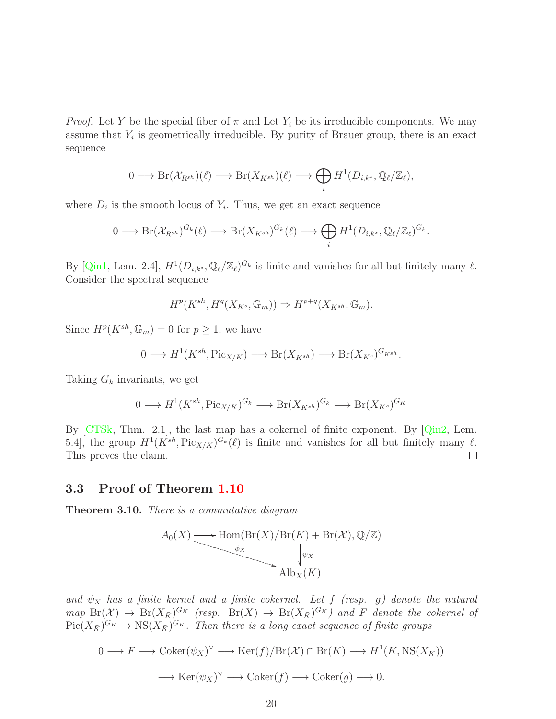*Proof.* Let Y be the special fiber of  $\pi$  and Let  $Y_i$  be its irreducible components. We may assume that  $Y_i$  is geometrically irreducible. By purity of Brauer group, there is an exact sequence

$$
0 \longrightarrow \mathrm{Br}(\mathcal{X}_{R^{sh}})(\ell) \longrightarrow \mathrm{Br}(X_{K^{sh}})(\ell) \longrightarrow \bigoplus_i H^1(D_{i,k^s}, \mathbb{Q}_{\ell}/\mathbb{Z}_{\ell}),
$$

where  $D_i$  is the smooth locus of  $Y_i$ . Thus, we get an exact sequence

$$
0 \longrightarrow \mathrm{Br}(\mathcal{X}_{R^{sh}})^{G_k}(\ell) \longrightarrow \mathrm{Br}(X_{K^{sh}})^{G_k}(\ell) \longrightarrow \bigoplus_i H^1(D_{i,k^s}, \mathbb{Q}_{\ell}/\mathbb{Z}_{\ell})^{G_k}.
$$

By [\[Qin1,](#page-25-3) Lem. 2.4],  $H^1(D_{i,k^s}, \mathbb{Q}_{\ell}/\mathbb{Z}_{\ell})^{G_k}$  is finite and vanishes for all but finitely many  $\ell$ . Consider the spectral sequence

$$
H^p(K^{sh}, H^q(X_{K^s}, \mathbb{G}_m)) \Rightarrow H^{p+q}(X_{K^{sh}}, \mathbb{G}_m).
$$

Since  $H^p(K^{sh}, \mathbb{G}_m) = 0$  for  $p \geq 1$ , we have

$$
0 \longrightarrow H^1(K^{sh}, \text{Pic}_{X/K}) \longrightarrow \text{Br}(X_{K^{sh}}) \longrightarrow \text{Br}(X_{K^s})^{G_{K^{sh}}}.
$$

Taking  $G_k$  invariants, we get

$$
0 \longrightarrow H^1(K^{sh}, \text{Pic}_{X/K})^{G_k} \longrightarrow \text{Br}(X_{K^{sh}})^{G_k} \longrightarrow \text{Br}(X_{K^s})^{G_K}
$$

By  $[CTSk, Thm. 2.1]$ , the last map has a cokernel of finite exponent. By  $[Qin2, Lem.$ 5.4], the group  $H^1(K^{sh}, Pic_{X/K})^{G_k}(\ell)$  is finite and vanishes for all but finitely many  $\ell$ . This proves the claim.  $\Box$ 

#### <span id="page-19-0"></span>3.3 Proof of Theorem [1.10](#page-4-1)

Theorem 3.10. *There is a commutative diagram*



and  $\psi_X$  has a finite kernel and a finite cokernel. Let f (resp. g) denote the natural  $map\; \text{Br}(\mathcal{X}) \to \text{Br}(X_{\bar{K}})^{G_K}$  (resp.  $\text{Br}(X) \to \text{Br}(X_{\bar{K}})^{G_K}$ ) and F denote the cokernel of  $Pic(X_{\bar K})^{G_K} \to \text{NS}(X_{\bar K})^{G_K}$ . Then there is a long exact sequence of finite groups

$$
0 \longrightarrow F \longrightarrow \operatorname{Coker}(\psi_X)^{\vee} \longrightarrow \operatorname{Ker}(f)/\operatorname{Br}(\mathcal{X}) \cap \operatorname{Br}(K) \longrightarrow H^1(K, \operatorname{NS}(X_{\bar{K}}))
$$

$$
\longrightarrow \operatorname{Ker}(\psi_X)^{\vee} \longrightarrow \operatorname{Coker}(f) \longrightarrow \operatorname{Coker}(g) \longrightarrow 0.
$$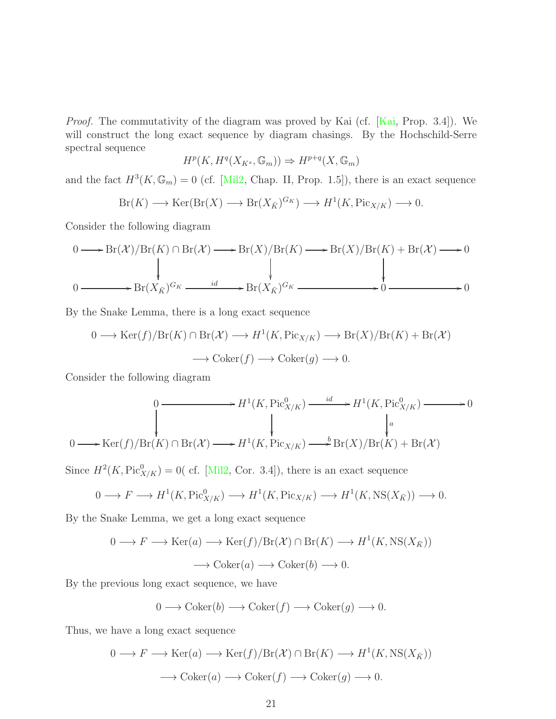*Proof.* The commutativity of the diagram was proved by Kai (cf. [\[Kai,](#page-25-7) Prop. 3.4]). We will construct the long exact sequence by diagram chasings. By the Hochschild-Serre spectral sequence

$$
H^p(K, H^q(X_{K^s}, \mathbb{G}_m)) \Rightarrow H^{p+q}(X, \mathbb{G}_m)
$$

and the fact  $H^3(K, \mathbb{G}_m) = 0$  (cf. [\[Mil2,](#page-25-6) Chap. II, Prop. 1.5]), there is an exact sequence

$$
Br(K) \longrightarrow \text{Ker}(\text{Br}(X) \longrightarrow \text{Br}(X_{\bar{K}})^{G_K}) \longrightarrow H^1(K, \text{Pic}_{X/K}) \longrightarrow 0.
$$

Consider the following diagram

$$
0 \longrightarrow Br(\mathcal{X})/Br(K) \cap Br(\mathcal{X}) \longrightarrow Br(X)/Br(K) \longrightarrow Br(X)/Br(K) + Br(\mathcal{X}) \longrightarrow 0
$$
  

$$
0 \longrightarrow Br(X_{\bar{K}})^{G_K} \longrightarrow Br(X_{\bar{K}})^{G_K} \longrightarrow 0
$$

By the Snake Lemma, there is a long exact sequence

$$
0 \longrightarrow \text{Ker}(f)/\text{Br}(K) \cap \text{Br}(\mathcal{X}) \longrightarrow H^1(K, \text{Pic}_{X/K}) \longrightarrow \text{Br}(X)/\text{Br}(K) + \text{Br}(\mathcal{X})
$$

$$
\longrightarrow \text{Coker}(f) \longrightarrow \text{Coker}(g) \longrightarrow 0.
$$

Consider the following diagram

$$
0 \longrightarrow H^{1}(K, \text{Pic}_{X/K}^{0}) \longrightarrow H^{1}(K, \text{Pic}_{X/K}^{0}) \longrightarrow 0
$$
  
\n
$$
\downarrow \qquad \qquad \downarrow \qquad \qquad \downarrow
$$
  
\n
$$
0 \longrightarrow \text{Ker}(f)/\text{Br}(K) \cap \text{Br}(\mathcal{X}) \longrightarrow H^{1}(K, \text{Pic}_{X/K}) \longrightarrow \text{Br}(X)/\text{Br}(K) + \text{Br}(\mathcal{X})
$$

Since  $H^2(K, \text{Pic}^0_{X/K}) = 0$  (cf. [\[Mil2,](#page-25-6) Cor. 3.4]), there is an exact sequence

$$
0 \longrightarrow F \longrightarrow H^1(K, \text{Pic}^0_{X/K}) \longrightarrow H^1(K, \text{Pic}_{X/K}) \longrightarrow H^1(K, \text{NS}(X_{\bar{K}})) \longrightarrow 0.
$$

By the Snake Lemma, we get a long exact sequence

$$
0 \longrightarrow F \longrightarrow \text{Ker}(a) \longrightarrow \text{Ker}(f)/\text{Br}(\mathcal{X}) \cap \text{Br}(K) \longrightarrow H^1(K, \text{NS}(X_{\bar{K}}))
$$

$$
\longrightarrow \text{Coker}(a) \longrightarrow \text{Coker}(b) \longrightarrow 0.
$$

By the previous long exact sequence, we have

$$
0 \longrightarrow \text{Coker}(b) \longrightarrow \text{Coker}(f) \longrightarrow \text{Coker}(g) \longrightarrow 0.
$$

Thus, we have a long exact sequence

$$
0 \longrightarrow F \longrightarrow \text{Ker}(a) \longrightarrow \text{Ker}(f)/\text{Br}(\mathcal{X}) \cap \text{Br}(K) \longrightarrow H^1(K, \text{NS}(X_{\bar{K}}))
$$

$$
\longrightarrow \text{Coker}(a) \longrightarrow \text{Coker}(f) \longrightarrow \text{Coker}(g) \longrightarrow 0.
$$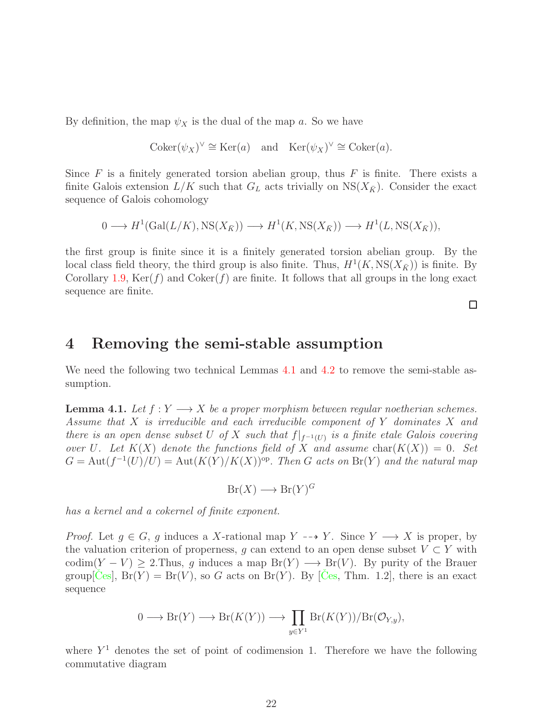By definition, the map  $\psi_X$  is the dual of the map a. So we have

$$
Coker(\psi_X)^\vee \cong \text{Ker}(a) \quad \text{and} \quad \text{Ker}(\psi_X)^\vee \cong \text{Coker}(a).
$$

Since  $F$  is a finitely generated torsion abelian group, thus  $F$  is finite. There exists a finite Galois extension  $L/K$  such that  $G_L$  acts trivially on  $NS(X_{\bar{K}})$ . Consider the exact sequence of Galois cohomology

$$
0 \longrightarrow H^1(\text{Gal}(L/K),\text{NS}(X_{\bar{K}})) \longrightarrow H^1(K,\text{NS}(X_{\bar{K}})) \longrightarrow H^1(L,\text{NS}(X_{\bar{K}})),
$$

the first group is finite since it is a finitely generated torsion abelian group. By the local class field theory, the third group is also finite. Thus,  $H^1(K, \text{NS}(X_{\bar{K}}))$  is finite. By Corollary [1.9,](#page-3-0)  $\text{Ker}(f)$  and  $\text{Coker}(f)$  are finite. It follows that all groups in the long exact sequence are finite.

□

## <span id="page-21-0"></span>4 Removing the semi-stable assumption

We need the following two technical Lemmas [4.1](#page-21-1) and [4.2](#page-22-0) to remove the semi-stable assumption.

<span id="page-21-1"></span>**Lemma 4.1.** *Let*  $f: Y \longrightarrow X$  *be a proper morphism between regular noetherian schemes. Assume that* X *is irreducible and each irreducible component of* Y *dominates* X *and there is an open dense subset* U *of* X *such that*  $f|_{f^{-1}(U)}$  *is a finite etale Galois covering over* U. Let  $K(X)$  denote the functions field of X and assume  $char(K(X)) = 0$ . Set  $G = \text{Aut}(f^{-1}(U)/U) = \text{Aut}(K(Y)/K(X))^{op}$ . *Then* G acts on  $\text{Br}(Y)$  and the natural map

 $Br(X) \longrightarrow Br(Y)^G$ 

*has a kernel and a cokernel of finite exponent.*

*Proof.* Let  $g \in G$ , g induces a X-rational map Y  $\dashrightarrow Y$ . Since  $Y \longrightarrow X$  is proper, by the valuation criterion of properness, g can extend to an open dense subset  $V \subset Y$  with codim(Y – V)  $\geq$  2.Thus, g induces a map  $Br(Y) \longrightarrow Br(V)$ . By purity of the Brauer group  $[C_{\text{es}}]$ ,  $Br(Y) = Br(V)$ , so G acts on  $Br(Y)$ . By  $[C_{\text{es}}]$ , Thm. 1.2, there is an exact sequence

$$
0 \longrightarrow \mathrm{Br}(Y) \longrightarrow \mathrm{Br}(K(Y)) \longrightarrow \prod_{y \in Y^1} \mathrm{Br}(K(Y))/\mathrm{Br}(\mathcal{O}_{Y,y}),
$$

where  $Y<sup>1</sup>$  denotes the set of point of codimension 1. Therefore we have the following commutative diagram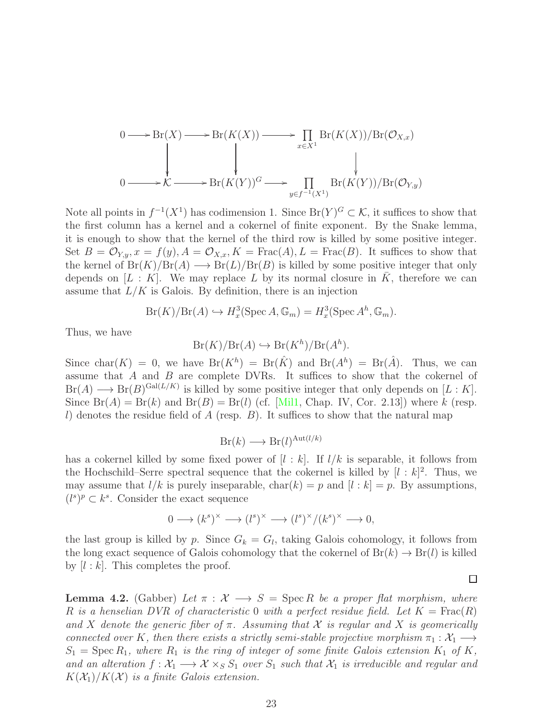$$
0 \longrightarrow Br(X) \longrightarrow Br(K(X)) \longrightarrow \prod_{x \in X^1} Br(K(X))/Br(\mathcal{O}_{X,x})
$$
  

$$
0 \longrightarrow \mathcal{K} \longrightarrow Br(K(Y))^G \longrightarrow \prod_{y \in f^{-1}(X^1)} Br(K(Y))/Br(\mathcal{O}_{Y,y})
$$

Note all points in  $f^{-1}(X^1)$  has codimension 1. Since  $Br(Y)^G \subset K$ , it suffices to show that the first column has a kernel and a cokernel of finite exponent. By the Snake lemma, it is enough to show that the kernel of the third row is killed by some positive integer. Set  $B = \mathcal{O}_{Y,y}$ ,  $x = f(y)$ ,  $A = \mathcal{O}_{X,x}$ ,  $K = \text{Frac}(A)$ ,  $L = \text{Frac}(B)$ . It suffices to show that the kernel of  $Br(K)/Br(A) \longrightarrow Br(L)/Br(B)$  is killed by some positive integer that only depends on  $[L: K]$ . We may replace L by its normal closure in K, therefore we can assume that  $L/K$  is Galois. By definition, there is an injection

$$
Br(K)/Br(A) \hookrightarrow H_x^3(\operatorname{Spec} A, \mathbb{G}_m) = H_x^3(\operatorname{Spec} A^h, \mathbb{G}_m).
$$

Thus, we have

$$
Br(K)/Br(A) \hookrightarrow Br(K^h)/Br(A^h).
$$

Since char $(K) = 0$ , we have  $Br(K^h) = Br(\hat{K})$  and  $Br(A^h) = Br(\hat{A})$ . Thus, we can assume that A and B are complete DVRs. It suffices to show that the cokernel of  $Br(A) \longrightarrow Br(B)^{Gal(L/K)}$  is killed by some positive integer that only depends on  $[L:K]$ . Since  $Br(A) = Br(k)$  and  $Br(B) = Br(l)$  (cf. [\[Mil1,](#page-25-13) Chap. IV, Cor. 2.13]) where k (resp. l) denotes the residue field of A (resp. B). It suffices to show that the natural map

$$
Br(k) \longrightarrow Br(l)^{\text{Aut}(l/k)}
$$

has a cokernel killed by some fixed power of  $[l : k]$ . If  $l/k$  is separable, it follows from the Hochschild–Serre spectral sequence that the cokernel is killed by  $[l : k]^2$ . Thus, we may assume that  $l/k$  is purely inseparable,  $char(k) = p$  and  $[l : k] = p$ . By assumptions,  $(l^s)^p \subset k^s$ . Consider the exact sequence

$$
0 \longrightarrow (k^s)^{\times} \longrightarrow (l^s)^{\times} \longrightarrow (l^s)^{\times}/(k^s)^{\times} \longrightarrow 0,
$$

the last group is killed by p. Since  $G_k = G_l$ , taking Galois cohomology, it follows from the long exact sequence of Galois cohomology that the cokernel of  $Br(k) \to Br(l)$  is killed by  $|l : k|$ . This completes the proof.

<span id="page-22-0"></span>**Lemma 4.2.** (Gabber) Let  $\pi : \mathcal{X} \longrightarrow S = \text{Spec } R$  be a proper flat morphism, where R is a henselian DVR of characteristic 0 with a perfect residue field. Let  $K = \text{Frac}(R)$ and X denote the generic fiber of  $\pi$ . Assuming that X is regular and X is geomerically *connected over* K, then there exists a strictly semi-stable projective morphism  $\pi_1 : \mathcal{X}_1 \longrightarrow$  $S_1$  = Spec  $R_1$ *, where*  $R_1$  *is the ring of integer of some finite Galois extension*  $K_1$  *of*  $K$ *, and an alteration*  $f: \mathcal{X}_1 \longrightarrow \mathcal{X} \times_S S_1$  *over*  $S_1$  *such that*  $\mathcal{X}_1$  *is irreducible and regular and*  $K(\mathcal{X}_1)/K(\mathcal{X})$  *is a finite Galois extension.*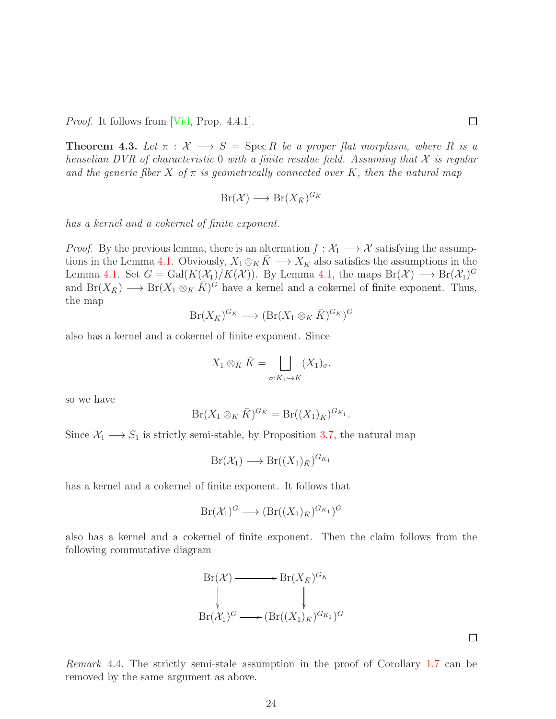*Proof.* It follows from [\[Vid,](#page-26-8) Prop. 4.4.1].

<span id="page-23-0"></span>**Theorem 4.3.** Let  $\pi : \mathcal{X} \longrightarrow S = \text{Spec } R$  be a proper flat morphism, where R is a *henselian DVR of characteristic* 0 *with a finite residue field. Assuming that*  $X$  *is regular and the generic fiber* X *of* π *is geometrically connected over* K*, then the natural map*

$$
Br(\mathcal{X}) \longrightarrow Br(X_{\bar{K}})^{G_K}
$$

*has a kernel and a cokernel of finite exponent.*

*Proof.* By the previous lemma, there is an alternation  $f: \mathcal{X}_1 \longrightarrow \mathcal{X}$  satisfying the assump-tions in the Lemma [4.1.](#page-21-1) Obviously,  $X_1 \otimes_K \overline{K} \longrightarrow X_{\overline{K}}$  also satisfies the assumptions in the Lemma [4.1.](#page-21-1) Set  $G = \text{Gal}(K(\mathcal{X}_1)/K(\mathcal{X}))$ . By Lemma [4.1,](#page-21-1) the maps  $\text{Br}(\mathcal{X}) \longrightarrow \text{Br}(\mathcal{X}_1)^G$ and  $Br(X_{\bar{K}}) \longrightarrow Br(X_1 \otimes_K \bar{K})^{\bar{G}}$  have a kernel and a cokernel of finite exponent. Thus, the map

$$
Br(X_{\bar{K}})^{G_K} \longrightarrow (Br(X_1 \otimes_K \bar{K})^{G_K})^G
$$

also has a kernel and a cokernel of finite exponent. Since

$$
X_1 \otimes_K \bar{K} = \bigsqcup_{\sigma: K_1 \hookrightarrow \bar{K}} (X_1)_{\sigma},
$$

so we have

$$
Br(X_1 \otimes_K \bar{K})^{G_K} = Br((X_1)_{\bar{K}})^{G_{K_1}}.
$$

Since  $X_1 \longrightarrow S_1$  is strictly semi-stable, by Proposition [3.7,](#page-18-0) the natural map

$$
Br(\mathcal{X}_1) \longrightarrow Br((X_1)_{\bar{K}})^{G_{K_1}}
$$

has a kernel and a cokernel of finite exponent. It follows that

$$
Br(\mathcal{X}_1)^G \longrightarrow (Br((X_1)_{\bar{K}})^{G_{K_1}})^G
$$

also has a kernel and a cokernel of finite exponent. Then the claim follows from the following commutative diagram



*Remark* 4.4*.* The strictly semi-stale assumption in the proof of Corollary [1.7](#page-2-1) can be removed by the same argument as above.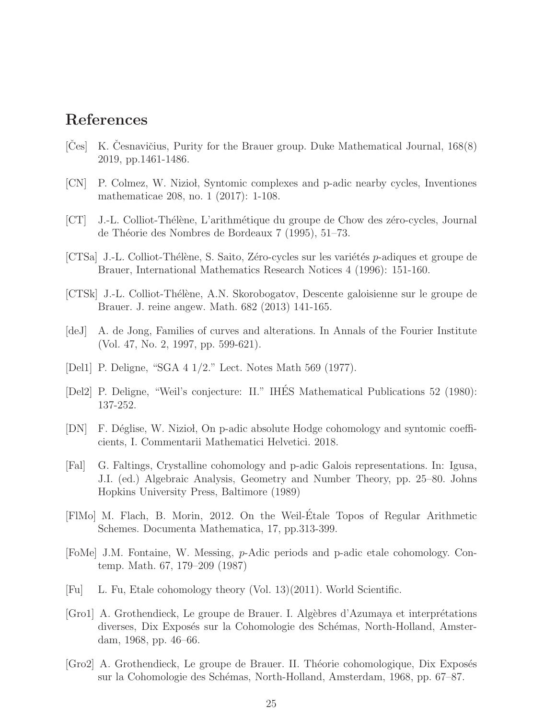# References

- <span id="page-24-10"></span>[Ces] K. Cesnavičius, Purity for the Brauer group. Duke Mathematical Journal,  $168(8)$ 2019, pp.1461-1486.
- <span id="page-24-9"></span>[CN] P. Colmez, W. Niziol, Syntomic complexes and p-adic nearby cycles, Inventiones mathematicae 208, no. 1 (2017): 1-108.
- <span id="page-24-4"></span>[CT] J.-L. Colliot-Thélène, L'arithmétique du groupe de Chow des zéro-cycles, Journal de Théorie des Nombres de Bordeaux 7 (1995), 51–73.
- <span id="page-24-5"></span>[CTSa] J.-L. Colliot-Thélène, S. Saito, Zéro-cycles sur les variétés p-adiques et groupe de Brauer, International Mathematics Research Notices 4 (1996): 151-160.
- <span id="page-24-3"></span>[CTSk] J.-L. Colliot-Th´el`ene, A.N. Skorobogatov, Descente galoisienne sur le groupe de Brauer. J. reine angew. Math. 682 (2013) 141-165.
- <span id="page-24-8"></span>[deJ] A. de Jong, Families of curves and alterations. In Annals of the Fourier Institute (Vol. 47, No. 2, 1997, pp. 599-621).
- [Del1] P. Deligne, "SGA 4 1/2." Lect. Notes Math 569 (1977).
- <span id="page-24-6"></span>[Del2] P. Deligne, "Weil's conjecture: II." IHÉS Mathematical Publications 52 (1980): 137-252.
- <span id="page-24-7"></span>[DN] F. Déglise, W. Niziol, On p-adic absolute Hodge cohomology and syntomic coefficients, I. Commentarii Mathematici Helvetici. 2018.
- <span id="page-24-2"></span>[Fal] G. Faltings, Crystalline cohomology and p-adic Galois representations. In: Igusa, J.I. (ed.) Algebraic Analysis, Geometry and Number Theory, pp. 25–80. Johns Hopkins University Press, Baltimore (1989)
- <span id="page-24-0"></span>[FlMo] M. Flach, B. Morin, 2012. On the Weil-Etale Topos of Regular Arithmetic ´ Schemes. Documenta Mathematica, 17, pp.313-399.
- <span id="page-24-1"></span>[FoMe] J.M. Fontaine, W. Messing, p-Adic periods and p-adic etale cohomology. Contemp. Math. 67, 179–209 (1987)
- [Fu] L. Fu, Etale cohomology theory (Vol. 13)(2011). World Scientific.
- [Gro1] A. Grothendieck, Le groupe de Brauer. I. Algèbres d'Azumaya et interprétations diverses, Dix Exposés sur la Cohomologie des Schémas, North-Holland, Amsterdam, 1968, pp. 46–66.
- [Gro2] A. Grothendieck, Le groupe de Brauer. II. Théorie cohomologique, Dix Exposés sur la Cohomologie des Schémas, North-Holland, Amsterdam, 1968, pp. 67–87.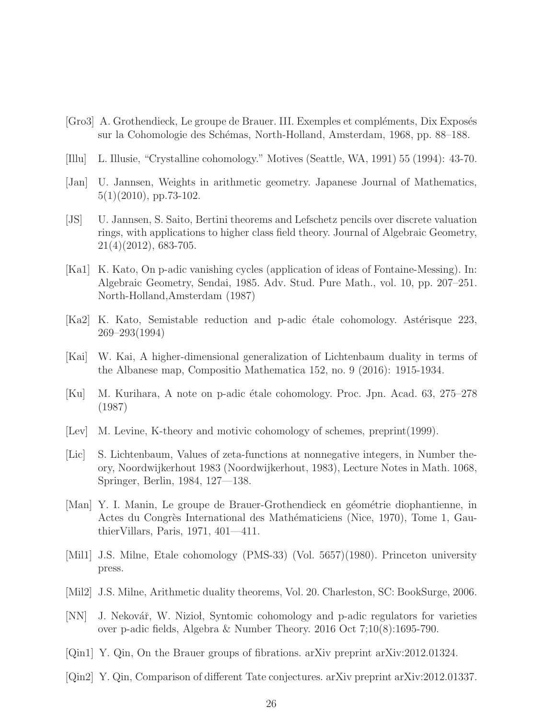- <span id="page-25-2"></span>[Gro3] A. Grothendieck, Le groupe de Brauer. III. Exemples et compléments, Dix Exposés sur la Cohomologie des Schémas, North-Holland, Amsterdam, 1968, pp. 88–188.
- <span id="page-25-0"></span>[Illu] L. Illusie, "Crystalline cohomology." Motives (Seattle, WA, 1991) 55 (1994): 43-70.
- <span id="page-25-12"></span>[Jan] U. Jannsen, Weights in arithmetic geometry. Japanese Journal of Mathematics, 5(1)(2010), pp.73-102.
- <span id="page-25-14"></span>[JS] U. Jannsen, S. Saito, Bertini theorems and Lefschetz pencils over discrete valuation rings, with applications to higher class field theory. Journal of Algebraic Geometry, 21(4)(2012), 683-705.
- <span id="page-25-9"></span>[Ka1] K. Kato, On p-adic vanishing cycles (application of ideas of Fontaine-Messing). In: Algebraic Geometry, Sendai, 1985. Adv. Stud. Pure Math., vol. 10, pp. 207–251. North-Holland,Amsterdam (1987)
- <span id="page-25-10"></span>[Ka2] K. Kato, Semistable reduction and p-adic étale cohomology. Astérisque 223, 269–293(1994)
- <span id="page-25-7"></span>[Kai] W. Kai, A higher-dimensional generalization of Lichtenbaum duality in terms of the Albanese map, Compositio Mathematica 152, no. 9 (2016): 1915-1934.
- <span id="page-25-11"></span>[Ku] M. Kurihara, A note on p-adic étale cohomology. Proc. Jpn. Acad. 63, 275–278 (1987)
- <span id="page-25-1"></span>[Lev] M. Levine, K-theory and motivic cohomology of schemes, preprint(1999).
- <span id="page-25-5"></span>[Lic] S. Lichtenbaum, Values of zeta-functions at nonnegative integers, in Number theory, Noordwijkerhout 1983 (Noordwijkerhout, 1983), Lecture Notes in Math. 1068, Springer, Berlin, 1984, 127—138.
- <span id="page-25-4"></span>[Man] Y. I. Manin, Le groupe de Brauer-Grothendieck en géométrie diophantienne, in Actes du Congrès International des Mathématiciens (Nice, 1970), Tome 1, GauthierVillars, Paris, 1971, 401—411.
- <span id="page-25-13"></span>[Mil1] J.S. Milne, Etale cohomology (PMS-33) (Vol. 5657)(1980). Princeton university press.
- <span id="page-25-6"></span>[Mil2] J.S. Milne, Arithmetic duality theorems, Vol. 20. Charleston, SC: BookSurge, 2006.
- <span id="page-25-8"></span>[NN] J. Nekovář, W. Nizioł, Syntomic cohomology and p-adic regulators for varieties over p-adic fields, Algebra & Number Theory. 2016 Oct 7;10(8):1695-790.
- <span id="page-25-3"></span>[Qin1] Y. Qin, On the Brauer groups of fibrations. arXiv preprint arXiv:2012.01324.
- <span id="page-25-15"></span>[Qin2] Y. Qin, Comparison of different Tate conjectures. arXiv preprint arXiv:2012.01337.